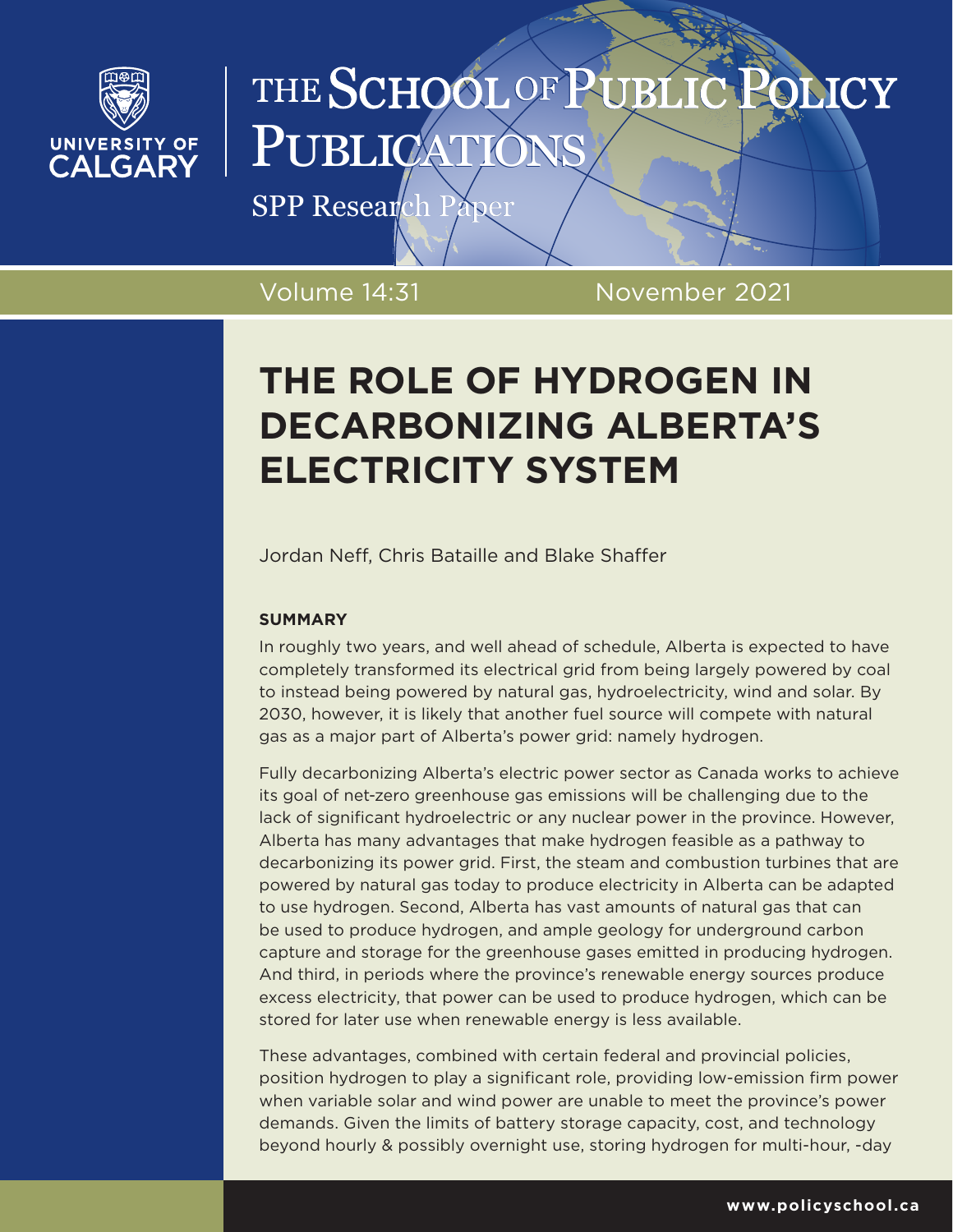

# THE SCHOOL OF PUBLIC **OLICY** PUBLICATI

SPP Research Paper

Volume 14:31 November 2021

# **THE ROLE OF HYDROGEN IN DECARBONIZING ALBERTA'S ELECTRICITY SYSTEM**

Jordan Neff, Chris Bataille and Blake Shaffer

# **SUMMARY**

In roughly two years, and well ahead of schedule, Alberta is expected to have completely transformed its electrical grid from being largely powered by coal to instead being powered by natural gas, hydroelectricity, wind and solar. By 2030, however, it is likely that another fuel source will compete with natural gas as a major part of Alberta's power grid: namely hydrogen.

Fully decarbonizing Alberta's electric power sector as Canada works to achieve its goal of net-zero greenhouse gas emissions will be challenging due to the lack of significant hydroelectric or any nuclear power in the province. However, Alberta has many advantages that make hydrogen feasible as a pathway to decarbonizing its power grid. First, the steam and combustion turbines that are powered by natural gas today to produce electricity in Alberta can be adapted to use hydrogen. Second, Alberta has vast amounts of natural gas that can be used to produce hydrogen, and ample geology for underground carbon capture and storage for the greenhouse gases emitted in producing hydrogen. And third, in periods where the province's renewable energy sources produce excess electricity, that power can be used to produce hydrogen, which can be stored for later use when renewable energy is less available.

These advantages, combined with certain federal and provincial policies, position hydrogen to play a significant role, providing low-emission firm power when variable solar and wind power are unable to meet the province's power demands. Given the limits of battery storage capacity, cost, and technology beyond hourly & possibly overnight use, storing hydrogen for multi-hour, -day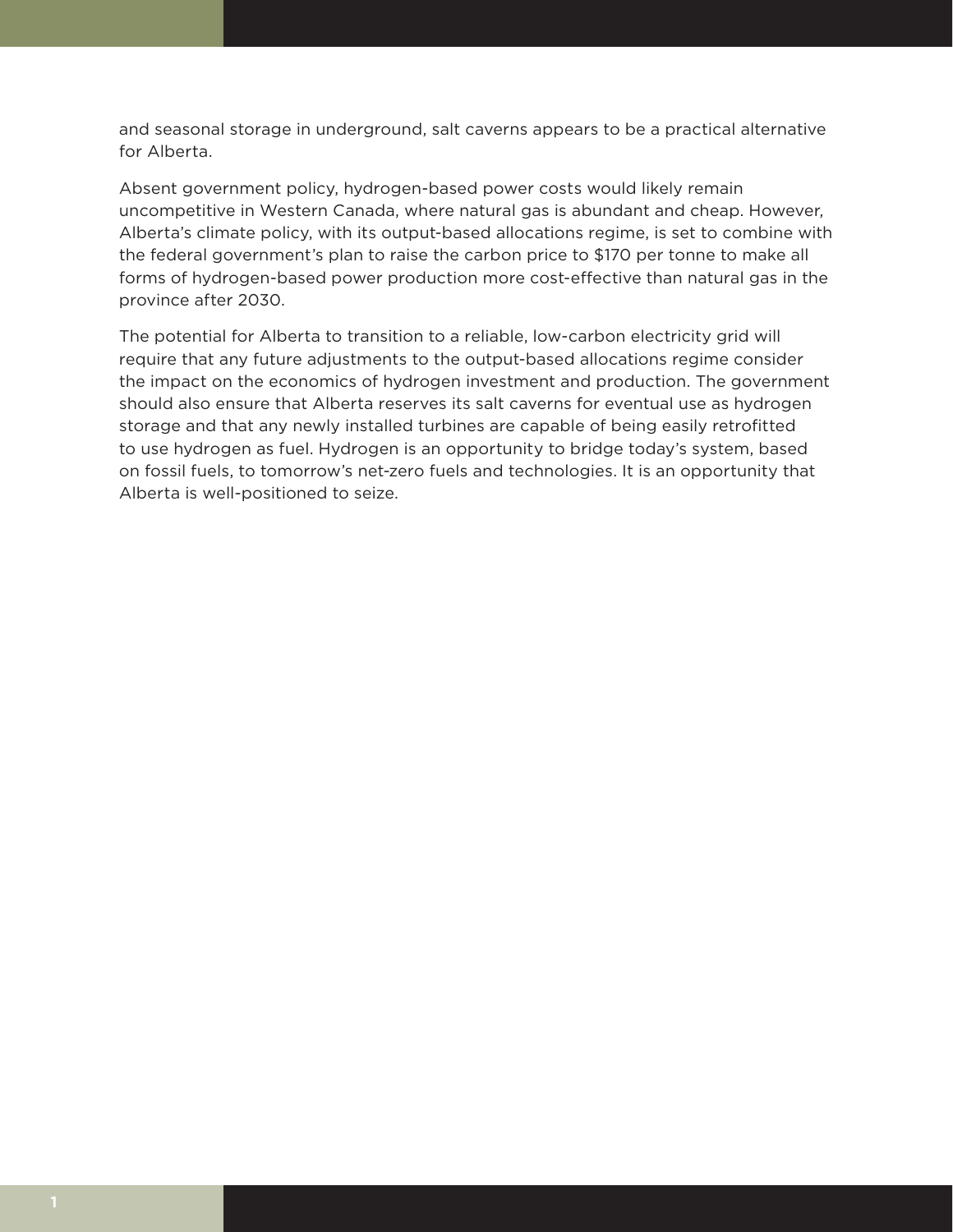and seasonal storage in underground, salt caverns appears to be a practical alternative for Alberta.

Absent government policy, hydrogen-based power costs would likely remain uncompetitive in Western Canada, where natural gas is abundant and cheap. However, Alberta's climate policy, with its output-based allocations regime, is set to combine with the federal government's plan to raise the carbon price to \$170 per tonne to make all forms of hydrogen-based power production more cost-effective than natural gas in the province after 2030.

The potential for Alberta to transition to a reliable, low-carbon electricity grid will require that any future adjustments to the output-based allocations regime consider the impact on the economics of hydrogen investment and production. The government should also ensure that Alberta reserves its salt caverns for eventual use as hydrogen storage and that any newly installed turbines are capable of being easily retrofitted to use hydrogen as fuel. Hydrogen is an opportunity to bridge today's system, based on fossil fuels, to tomorrow's net-zero fuels and technologies. It is an opportunity that Alberta is well-positioned to seize.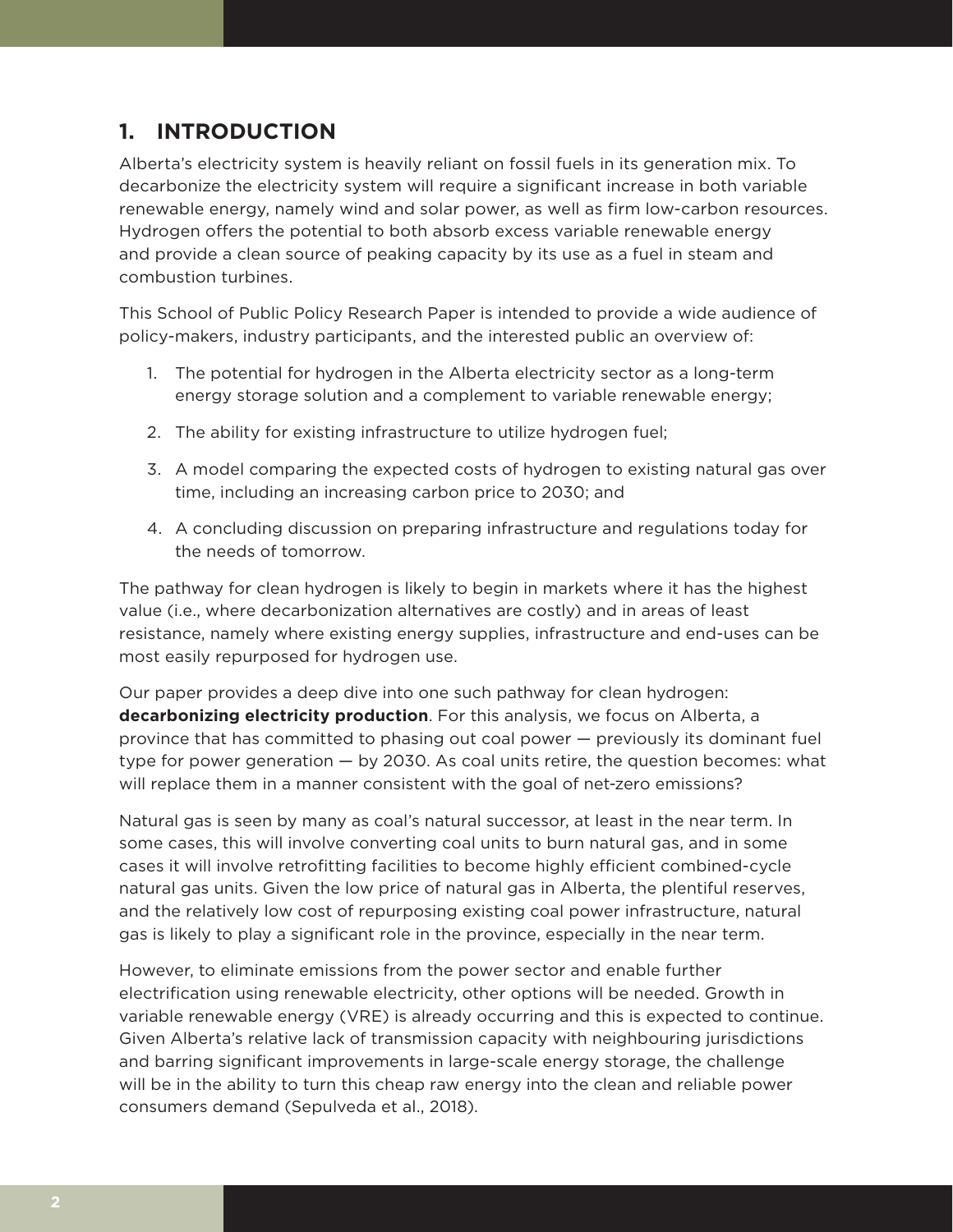# **1. INTRODUCTION**

Alberta's electricity system is heavily reliant on fossil fuels in its generation mix. To decarbonize the electricity system will require a significant increase in both variable renewable energy, namely wind and solar power, as well as firm low-carbon resources. Hydrogen offers the potential to both absorb excess variable renewable energy and provide a clean source of peaking capacity by its use as a fuel in steam and combustion turbines.

This School of Public Policy Research Paper is intended to provide a wide audience of policy-makers, industry participants, and the interested public an overview of:

- 1. The potential for hydrogen in the Alberta electricity sector as a long-term energy storage solution and a complement to variable renewable energy;
- 2. The ability for existing infrastructure to utilize hydrogen fuel;
- 3. A model comparing the expected costs of hydrogen to existing natural gas over time, including an increasing carbon price to 2030; and
- 4. A concluding discussion on preparing infrastructure and regulations today for the needs of tomorrow.

The pathway for clean hydrogen is likely to begin in markets where it has the highest value (i.e., where decarbonization alternatives are costly) and in areas of least resistance, namely where existing energy supplies, infrastructure and end-uses can be most easily repurposed for hydrogen use.

Our paper provides a deep dive into one such pathway for clean hydrogen: **decarbonizing electricity production**. For this analysis, we focus on Alberta, a province that has committed to phasing out coal power — previously its dominant fuel type for power generation — by 2030. As coal units retire, the question becomes: what will replace them in a manner consistent with the goal of net-zero emissions?

Natural gas is seen by many as coal's natural successor, at least in the near term. In some cases, this will involve converting coal units to burn natural gas, and in some cases it will involve retrofitting facilities to become highly efficient combined-cycle natural gas units. Given the low price of natural gas in Alberta, the plentiful reserves, and the relatively low cost of repurposing existing coal power infrastructure, natural gas is likely to play a significant role in the province, especially in the near term.

However, to eliminate emissions from the power sector and enable further electrification using renewable electricity, other options will be needed. Growth in variable renewable energy (VRE) is already occurring and this is expected to continue. Given Alberta's relative lack of transmission capacity with neighbouring jurisdictions and barring significant improvements in large-scale energy storage, the challenge will be in the ability to turn this cheap raw energy into the clean and reliable power consumers demand (Sepulveda et al., 2018).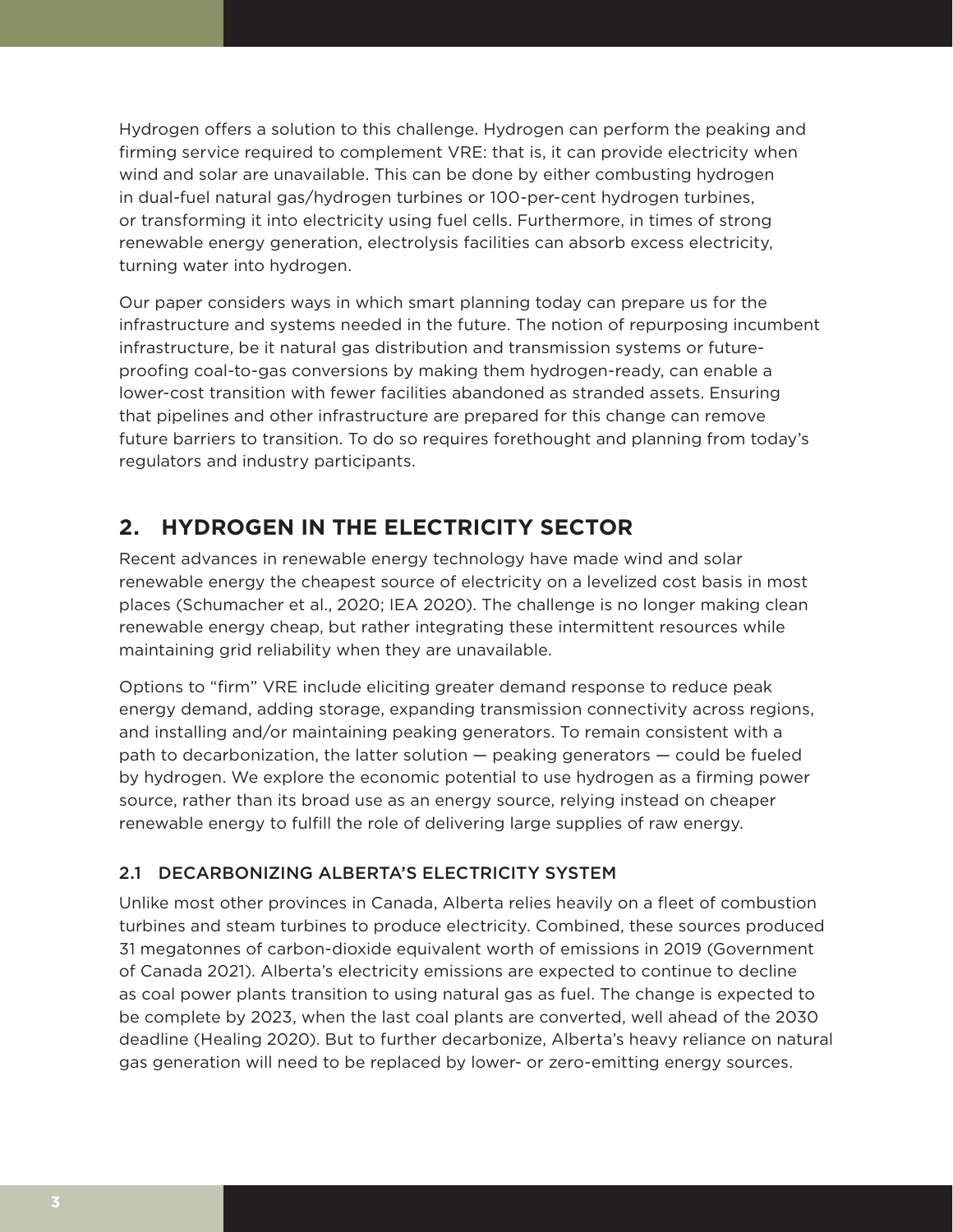Hydrogen offers a solution to this challenge. Hydrogen can perform the peaking and firming service required to complement VRE: that is, it can provide electricity when wind and solar are unavailable. This can be done by either combusting hydrogen in dual-fuel natural gas/hydrogen turbines or 100-per-cent hydrogen turbines, or transforming it into electricity using fuel cells. Furthermore, in times of strong renewable energy generation, electrolysis facilities can absorb excess electricity, turning water into hydrogen.

Our paper considers ways in which smart planning today can prepare us for the infrastructure and systems needed in the future. The notion of repurposing incumbent infrastructure, be it natural gas distribution and transmission systems or futureproofing coal-to-gas conversions by making them hydrogen-ready, can enable a lower-cost transition with fewer facilities abandoned as stranded assets. Ensuring that pipelines and other infrastructure are prepared for this change can remove future barriers to transition. To do so requires forethought and planning from today's regulators and industry participants.

# **2. HYDROGEN IN THE ELECTRICITY SECTOR**

Recent advances in renewable energy technology have made wind and solar renewable energy the cheapest source of electricity on a levelized cost basis in most places (Schumacher et al., 2020; IEA 2020). The challenge is no longer making clean renewable energy cheap, but rather integrating these intermittent resources while maintaining grid reliability when they are unavailable.

Options to "firm" VRE include eliciting greater demand response to reduce peak energy demand, adding storage, expanding transmission connectivity across regions, and installing and/or maintaining peaking generators. To remain consistent with a path to decarbonization, the latter solution — peaking generators — could be fueled by hydrogen. We explore the economic potential to use hydrogen as a firming power source, rather than its broad use as an energy source, relying instead on cheaper renewable energy to fulfill the role of delivering large supplies of raw energy.

## 2.1 DECARBONIZING ALBERTA'S ELECTRICITY SYSTEM

Unlike most other provinces in Canada, Alberta relies heavily on a fleet of combustion turbines and steam turbines to produce electricity. Combined, these sources produced 31 megatonnes of carbon-dioxide equivalent worth of emissions in 2019 (Government of Canada 2021). Alberta's electricity emissions are expected to continue to decline as coal power plants transition to using natural gas as fuel. The change is expected to be complete by 2023, when the last coal plants are converted, well ahead of the 2030 deadline (Healing 2020). But to further decarbonize, Alberta's heavy reliance on natural gas generation will need to be replaced by lower- or zero-emitting energy sources.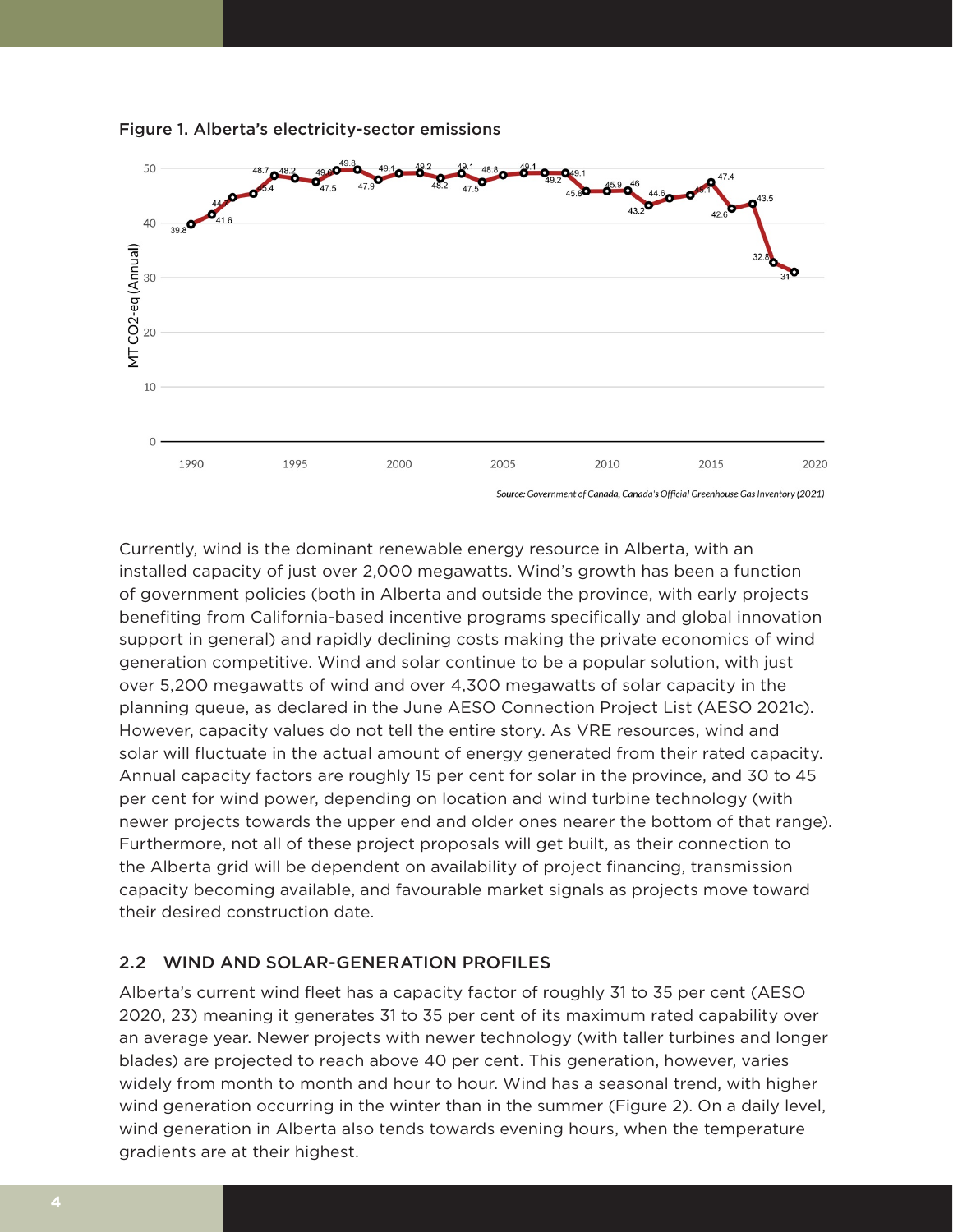

### Figure 1. Alberta's electricity-sector emissions

Source: Government of Canada, Canada's Official Greenhouse Gas Inventory (2021)

Currently, wind is the dominant renewable energy resource in Alberta, with an installed capacity of just over 2,000 megawatts. Wind's growth has been a function of government policies (both in Alberta and outside the province, with early projects benefiting from California-based incentive programs specifically and global innovation support in general) and rapidly declining costs making the private economics of wind generation competitive. Wind and solar continue to be a popular solution, with just over 5,200 megawatts of wind and over 4,300 megawatts of solar capacity in the planning queue, as declared in the June AESO Connection Project List (AESO 2021c). However, capacity values do not tell the entire story. As VRE resources, wind and solar will fluctuate in the actual amount of energy generated from their rated capacity. Annual capacity factors are roughly 15 per cent for solar in the province, and 30 to 45 per cent for wind power, depending on location and wind turbine technology (with newer projects towards the upper end and older ones nearer the bottom of that range). Furthermore, not all of these project proposals will get built, as their connection to the Alberta grid will be dependent on availability of project financing, transmission capacity becoming available, and favourable market signals as projects move toward their desired construction date.

## 2.2 WIND AND SOLAR-GENERATION PROFILES

Alberta's current wind fleet has a capacity factor of roughly 31 to 35 per cent (AESO 2020, 23) meaning it generates 31 to 35 per cent of its maximum rated capability over an average year. Newer projects with newer technology (with taller turbines and longer blades) are projected to reach above 40 per cent. This generation, however, varies widely from month to month and hour to hour. Wind has a seasonal trend, with higher wind generation occurring in the winter than in the summer (Figure 2). On a daily level, wind generation in Alberta also tends towards evening hours, when the temperature gradients are at their highest.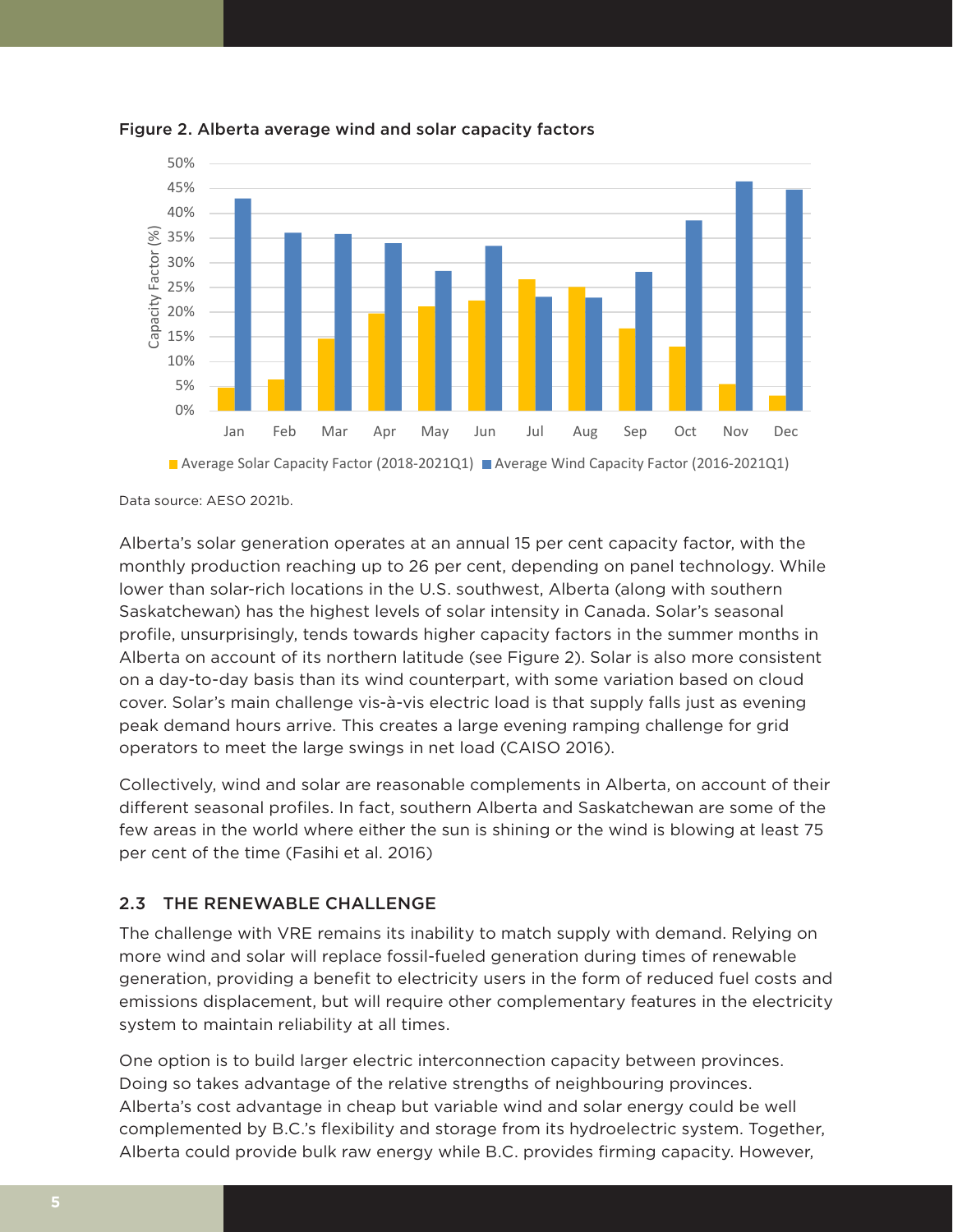

Figure 2. Alberta average wind and solar capacity factors

Data source: AESO 2021b.

Alberta's solar generation operates at an annual 15 per cent capacity factor, with the monthly production reaching up to 26 per cent, depending on panel technology. While lower than solar-rich locations in the U.S. southwest, Alberta (along with southern Saskatchewan) has the highest levels of solar intensity in Canada. Solar's seasonal profile, unsurprisingly, tends towards higher capacity factors in the summer months in Alberta on account of its northern latitude (see Figure 2). Solar is also more consistent on a day-to-day basis than its wind counterpart, with some variation based on cloud cover. Solar's main challenge vis-à-vis electric load is that supply falls just as evening peak demand hours arrive. This creates a large evening ramping challenge for grid operators to meet the large swings in net load (CAISO 2016).

Collectively, wind and solar are reasonable complements in Alberta, on account of their different seasonal profiles. In fact, southern Alberta and Saskatchewan are some of the few areas in the world where either the sun is shining or the wind is blowing at least 75 per cent of the time (Fasihi et al. 2016)

## 2.3 THE RENEWABLE CHALLENGE

The challenge with VRE remains its inability to match supply with demand. Relying on more wind and solar will replace fossil-fueled generation during times of renewable generation, providing a benefit to electricity users in the form of reduced fuel costs and emissions displacement, but will require other complementary features in the electricity system to maintain reliability at all times.

One option is to build larger electric interconnection capacity between provinces. Doing so takes advantage of the relative strengths of neighbouring provinces. Alberta's cost advantage in cheap but variable wind and solar energy could be well complemented by B.C.'s flexibility and storage from its hydroelectric system. Together, Alberta could provide bulk raw energy while B.C. provides firming capacity. However,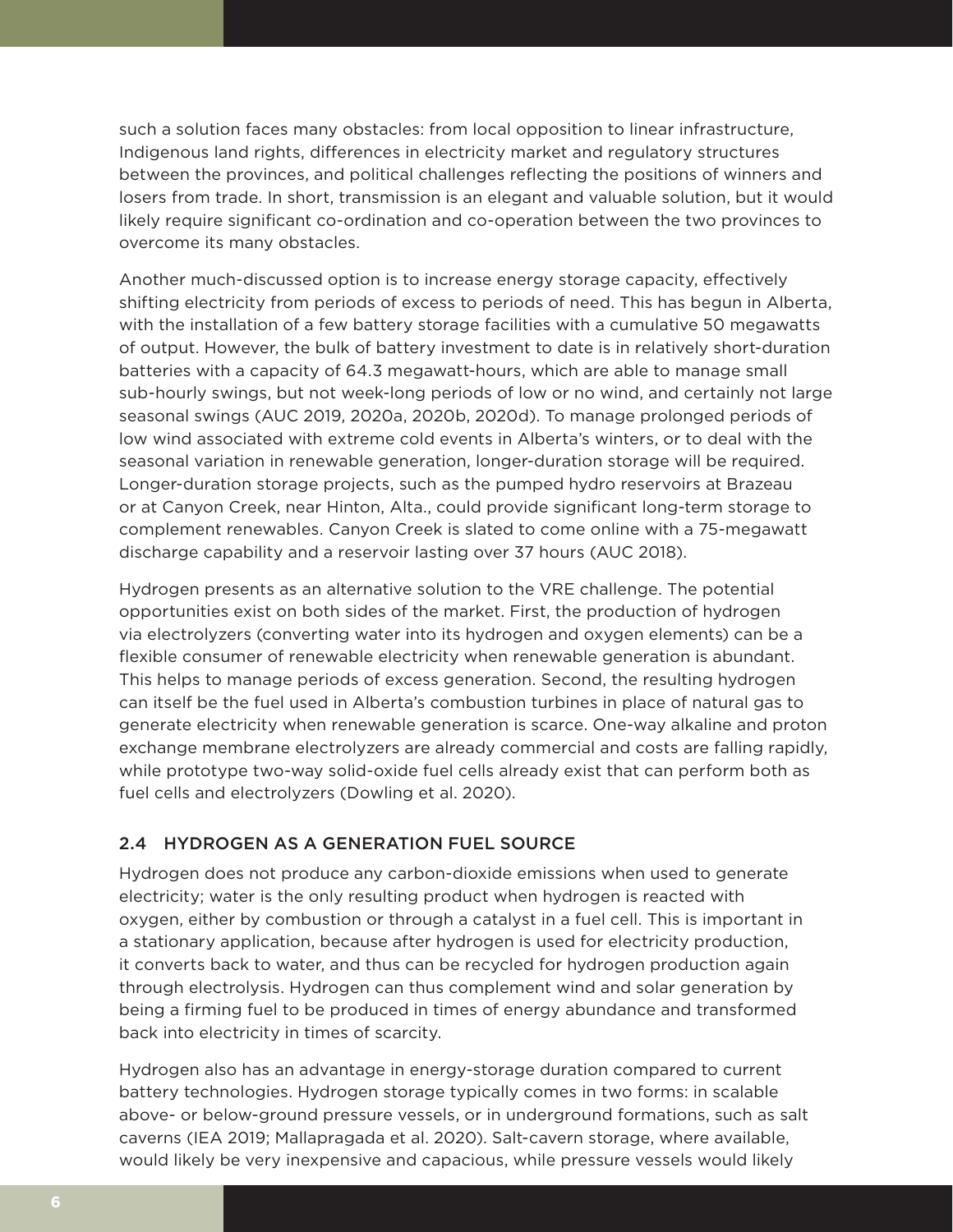such a solution faces many obstacles: from local opposition to linear infrastructure, Indigenous land rights, differences in electricity market and regulatory structures between the provinces, and political challenges reflecting the positions of winners and losers from trade. In short, transmission is an elegant and valuable solution, but it would likely require significant co-ordination and co-operation between the two provinces to overcome its many obstacles.

Another much-discussed option is to increase energy storage capacity, effectively shifting electricity from periods of excess to periods of need. This has begun in Alberta, with the installation of a few battery storage facilities with a cumulative 50 megawatts of output. However, the bulk of battery investment to date is in relatively short-duration batteries with a capacity of 64.3 megawatt-hours, which are able to manage small sub-hourly swings, but not week-long periods of low or no wind, and certainly not large seasonal swings (AUC 2019, 2020a, 2020b, 2020d). To manage prolonged periods of low wind associated with extreme cold events in Alberta's winters, or to deal with the seasonal variation in renewable generation, longer-duration storage will be required. Longer-duration storage projects, such as the pumped hydro reservoirs at Brazeau or at Canyon Creek, near Hinton, Alta., could provide significant long-term storage to complement renewables. Canyon Creek is slated to come online with a 75-megawatt discharge capability and a reservoir lasting over 37 hours (AUC 2018).

Hydrogen presents as an alternative solution to the VRE challenge. The potential opportunities exist on both sides of the market. First, the production of hydrogen via electrolyzers (converting water into its hydrogen and oxygen elements) can be a flexible consumer of renewable electricity when renewable generation is abundant. This helps to manage periods of excess generation. Second, the resulting hydrogen can itself be the fuel used in Alberta's combustion turbines in place of natural gas to generate electricity when renewable generation is scarce. One-way alkaline and proton exchange membrane electrolyzers are already commercial and costs are falling rapidly, while prototype two-way solid-oxide fuel cells already exist that can perform both as fuel cells and electrolyzers (Dowling et al. 2020).

## 2.4 HYDROGEN AS A GENERATION FUEL SOURCE

Hydrogen does not produce any carbon-dioxide emissions when used to generate electricity; water is the only resulting product when hydrogen is reacted with oxygen, either by combustion or through a catalyst in a fuel cell. This is important in a stationary application, because after hydrogen is used for electricity production, it converts back to water, and thus can be recycled for hydrogen production again through electrolysis. Hydrogen can thus complement wind and solar generation by being a firming fuel to be produced in times of energy abundance and transformed back into electricity in times of scarcity.

Hydrogen also has an advantage in energy-storage duration compared to current battery technologies. Hydrogen storage typically comes in two forms: in scalable above- or below-ground pressure vessels, or in underground formations, such as salt caverns (IEA 2019; Mallapragada et al. 2020). Salt-cavern storage, where available, would likely be very inexpensive and capacious, while pressure vessels would likely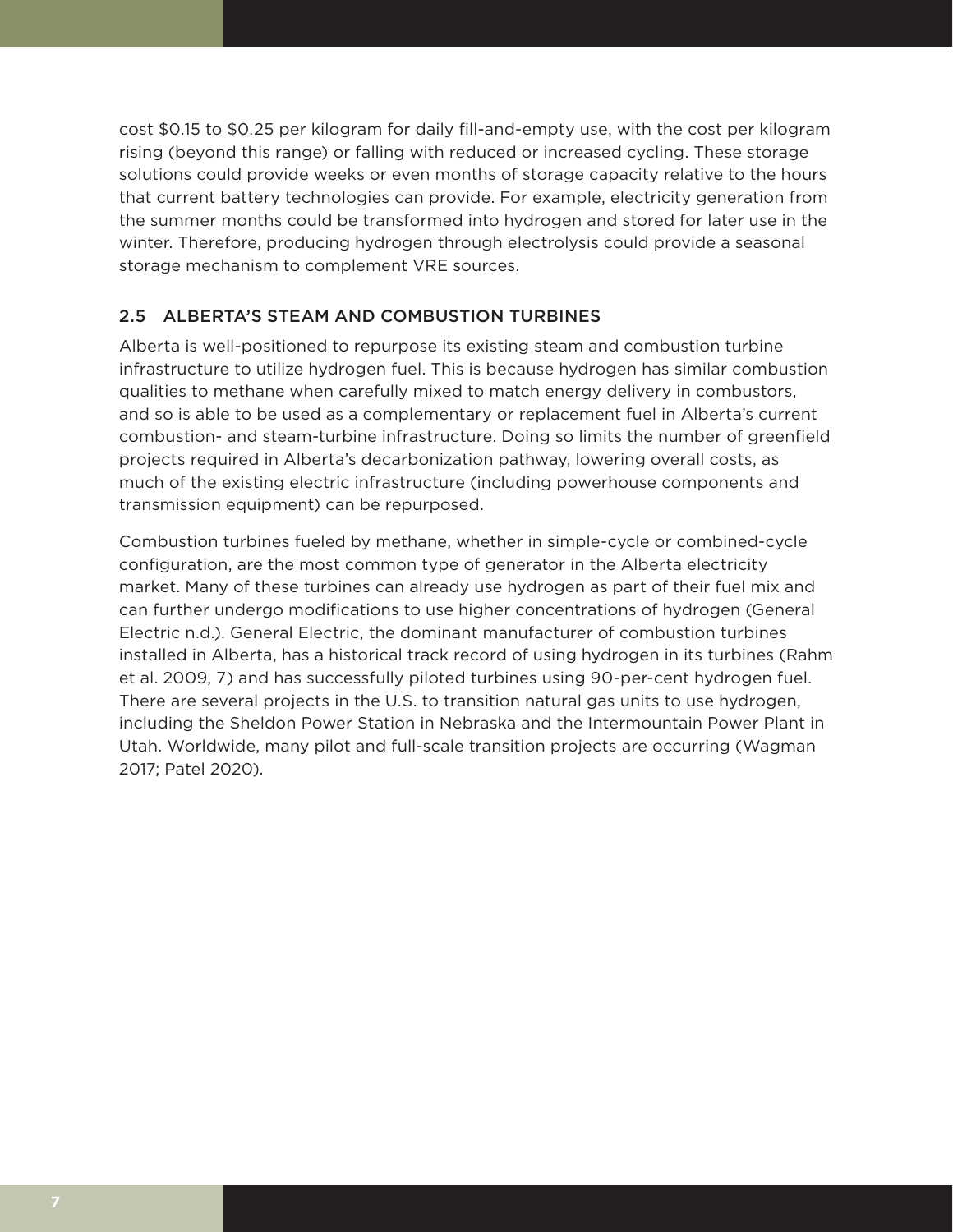cost \$0.15 to \$0.25 per kilogram for daily fill-and-empty use, with the cost per kilogram rising (beyond this range) or falling with reduced or increased cycling. These storage solutions could provide weeks or even months of storage capacity relative to the hours that current battery technologies can provide. For example, electricity generation from the summer months could be transformed into hydrogen and stored for later use in the winter. Therefore, producing hydrogen through electrolysis could provide a seasonal storage mechanism to complement VRE sources.

# 2.5 ALBERTA'S STEAM AND COMBUSTION TURBINES

Alberta is well-positioned to repurpose its existing steam and combustion turbine infrastructure to utilize hydrogen fuel. This is because hydrogen has similar combustion qualities to methane when carefully mixed to match energy delivery in combustors, and so is able to be used as a complementary or replacement fuel in Alberta's current combustion- and steam-turbine infrastructure. Doing so limits the number of greenfield projects required in Alberta's decarbonization pathway, lowering overall costs, as much of the existing electric infrastructure (including powerhouse components and transmission equipment) can be repurposed.

Combustion turbines fueled by methane, whether in simple-cycle or combined-cycle configuration, are the most common type of generator in the Alberta electricity market. Many of these turbines can already use hydrogen as part of their fuel mix and can further undergo modifications to use higher concentrations of hydrogen (General Electric n.d.). General Electric, the dominant manufacturer of combustion turbines installed in Alberta, has a historical track record of using hydrogen in its turbines (Rahm et al. 2009, 7) and has successfully piloted turbines using 90-per-cent hydrogen fuel. There are several projects in the U.S. to transition natural gas units to use hydrogen, including the Sheldon Power Station in Nebraska and the Intermountain Power Plant in Utah. Worldwide, many pilot and full-scale transition projects are occurring (Wagman 2017; Patel 2020).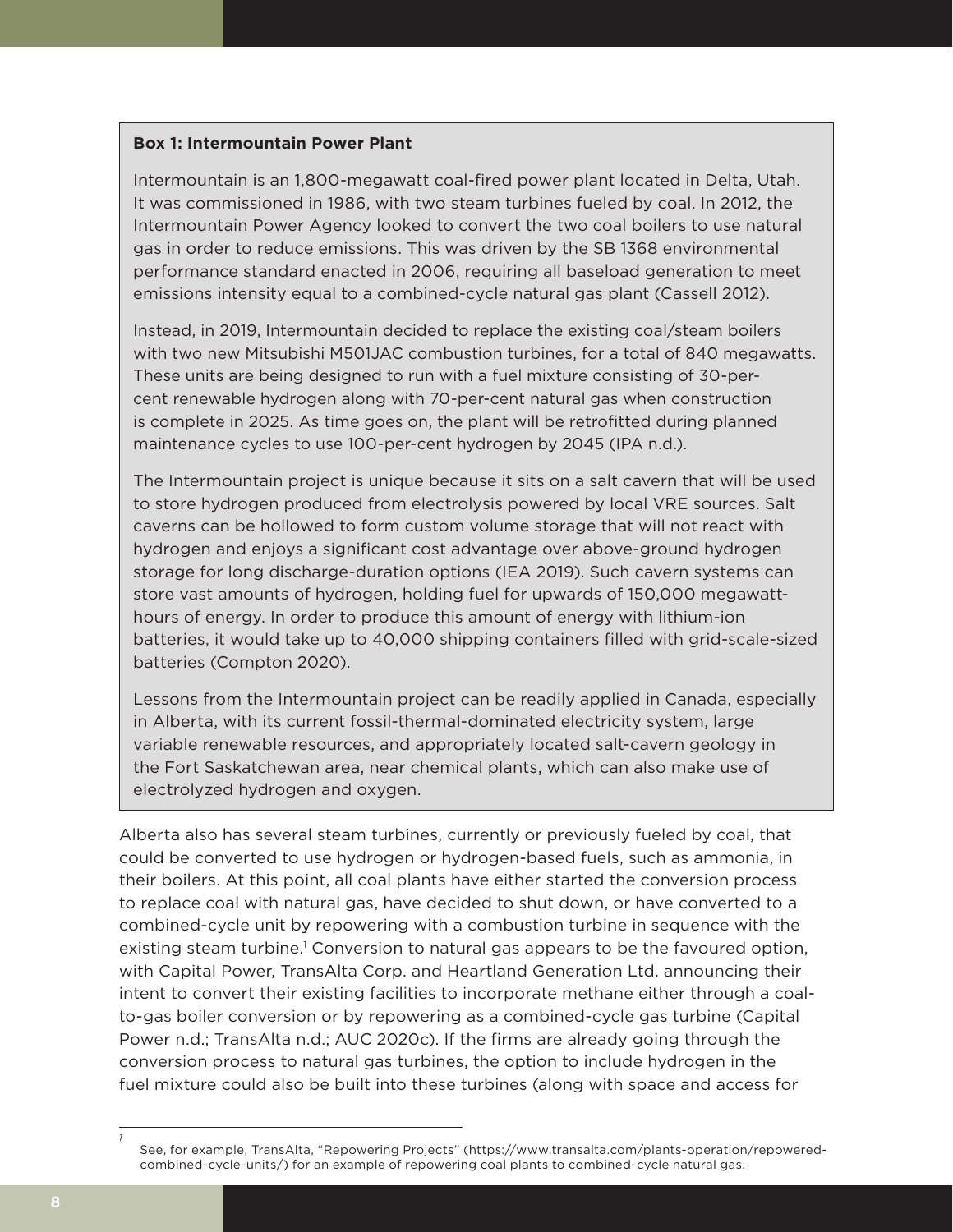## **Box 1: Intermountain Power Plant**

Intermountain is an 1,800-megawatt coal-fired power plant located in Delta, Utah. It was commissioned in 1986, with two steam turbines fueled by coal. In 2012, the Intermountain Power Agency looked to convert the two coal boilers to use natural gas in order to reduce emissions. This was driven by the SB 1368 environmental performance standard enacted in 2006, requiring all baseload generation to meet emissions intensity equal to a combined-cycle natural gas plant (Cassell 2012).

Instead, in 2019, Intermountain decided to replace the existing coal/steam boilers with two new Mitsubishi M501JAC combustion turbines, for a total of 840 megawatts. These units are being designed to run with a fuel mixture consisting of 30-percent renewable hydrogen along with 70-per-cent natural gas when construction is complete in 2025. As time goes on, the plant will be retrofitted during planned maintenance cycles to use 100-per-cent hydrogen by 2045 (IPA n.d.).

The Intermountain project is unique because it sits on a salt cavern that will be used to store hydrogen produced from electrolysis powered by local VRE sources. Salt caverns can be hollowed to form custom volume storage that will not react with hydrogen and enjoys a significant cost advantage over above-ground hydrogen storage for long discharge-duration options (IEA 2019). Such cavern systems can store vast amounts of hydrogen, holding fuel for upwards of 150,000 megawatthours of energy. In order to produce this amount of energy with lithium-ion batteries, it would take up to 40,000 shipping containers filled with grid-scale-sized batteries (Compton 2020).

Lessons from the Intermountain project can be readily applied in Canada, especially in Alberta, with its current fossil-thermal-dominated electricity system, large variable renewable resources, and appropriately located salt-cavern geology in the Fort Saskatchewan area, near chemical plants, which can also make use of electrolyzed hydrogen and oxygen.

Alberta also has several steam turbines, currently or previously fueled by coal, that could be converted to use hydrogen or hydrogen-based fuels, such as ammonia, in their boilers. At this point, all coal plants have either started the conversion process to replace coal with natural gas, have decided to shut down, or have converted to a combined-cycle unit by repowering with a combustion turbine in sequence with the existing steam turbine.<sup>1</sup> Conversion to natural gas appears to be the favoured option, with Capital Power, TransAlta Corp. and Heartland Generation Ltd. announcing their intent to convert their existing facilities to incorporate methane either through a coalto-gas boiler conversion or by repowering as a combined-cycle gas turbine (Capital Power n.d.; TransAlta n.d.; AUC 2020c). If the firms are already going through the conversion process to natural gas turbines, the option to include hydrogen in the fuel mixture could also be built into these turbines (along with space and access for

*<sup>1</sup>* See, for example, TransAlta, "Repowering Projects" (https://www.transalta.com/plants-operation/repoweredcombined-cycle-units/) for an example of repowering coal plants to combined-cycle natural gas.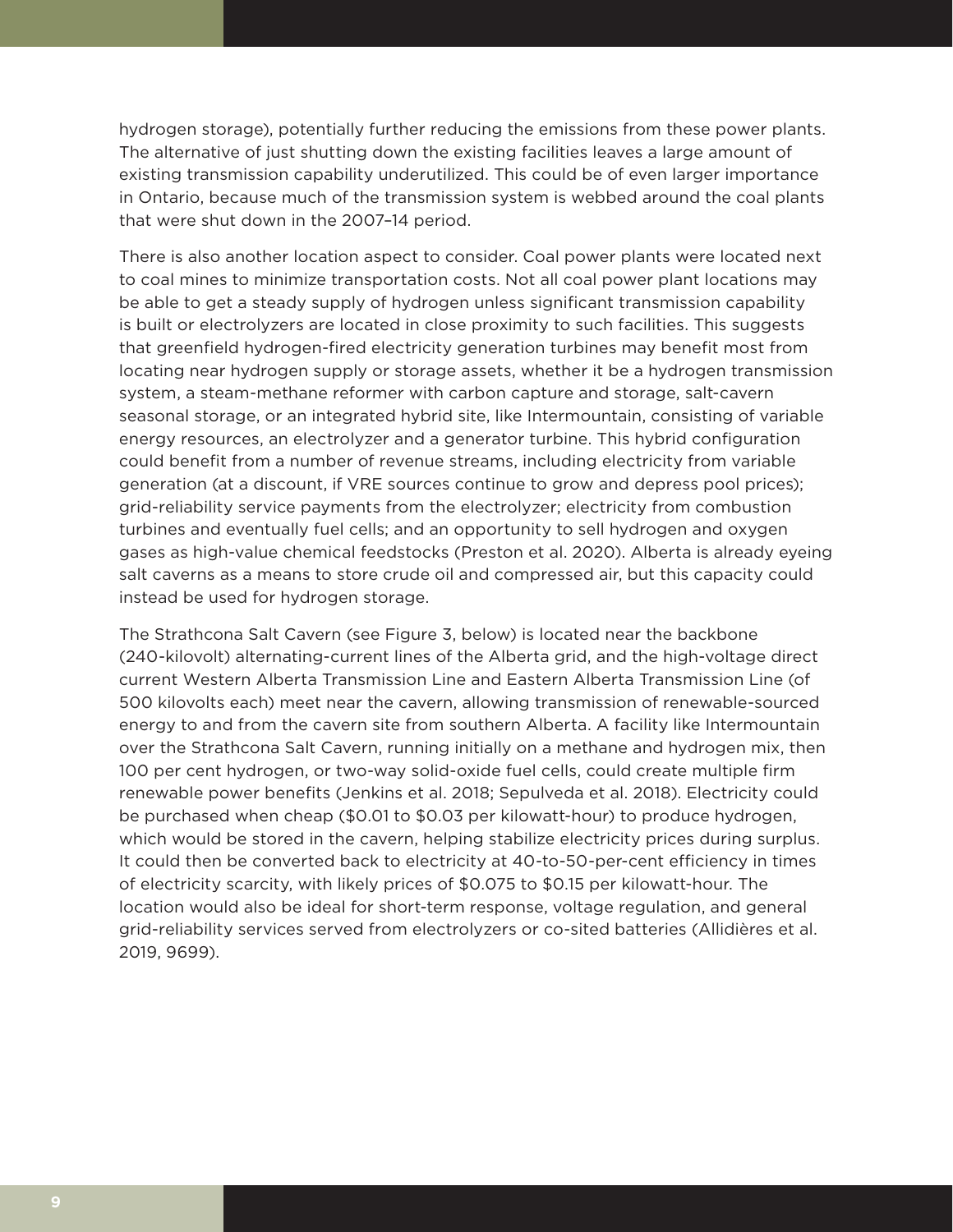hydrogen storage), potentially further reducing the emissions from these power plants. The alternative of just shutting down the existing facilities leaves a large amount of existing transmission capability underutilized. This could be of even larger importance in Ontario, because much of the transmission system is webbed around the coal plants that were shut down in the 2007–14 period.

There is also another location aspect to consider. Coal power plants were located next to coal mines to minimize transportation costs. Not all coal power plant locations may be able to get a steady supply of hydrogen unless significant transmission capability is built or electrolyzers are located in close proximity to such facilities. This suggests that greenfield hydrogen-fired electricity generation turbines may benefit most from locating near hydrogen supply or storage assets, whether it be a hydrogen transmission system, a steam-methane reformer with carbon capture and storage, salt-cavern seasonal storage, or an integrated hybrid site, like Intermountain, consisting of variable energy resources, an electrolyzer and a generator turbine. This hybrid configuration could benefit from a number of revenue streams, including electricity from variable generation (at a discount, if VRE sources continue to grow and depress pool prices); grid-reliability service payments from the electrolyzer; electricity from combustion turbines and eventually fuel cells; and an opportunity to sell hydrogen and oxygen gases as high-value chemical feedstocks (Preston et al. 2020). Alberta is already eyeing salt caverns as a means to store crude oil and compressed air, but this capacity could instead be used for hydrogen storage.

The Strathcona Salt Cavern (see Figure 3, below) is located near the backbone (240-kilovolt) alternating-current lines of the Alberta grid, and the high-voltage direct current Western Alberta Transmission Line and Eastern Alberta Transmission Line (of 500 kilovolts each) meet near the cavern, allowing transmission of renewable-sourced energy to and from the cavern site from southern Alberta. A facility like Intermountain over the Strathcona Salt Cavern, running initially on a methane and hydrogen mix, then 100 per cent hydrogen, or two-way solid-oxide fuel cells, could create multiple firm renewable power benefits (Jenkins et al. 2018; Sepulveda et al. 2018). Electricity could be purchased when cheap (\$0.01 to \$0.03 per kilowatt-hour) to produce hydrogen, which would be stored in the cavern, helping stabilize electricity prices during surplus. It could then be converted back to electricity at 40-to-50-per-cent efficiency in times of electricity scarcity, with likely prices of \$0.075 to \$0.15 per kilowatt-hour. The location would also be ideal for short-term response, voltage regulation, and general grid-reliability services served from electrolyzers or co-sited batteries (Allidières et al. 2019, 9699).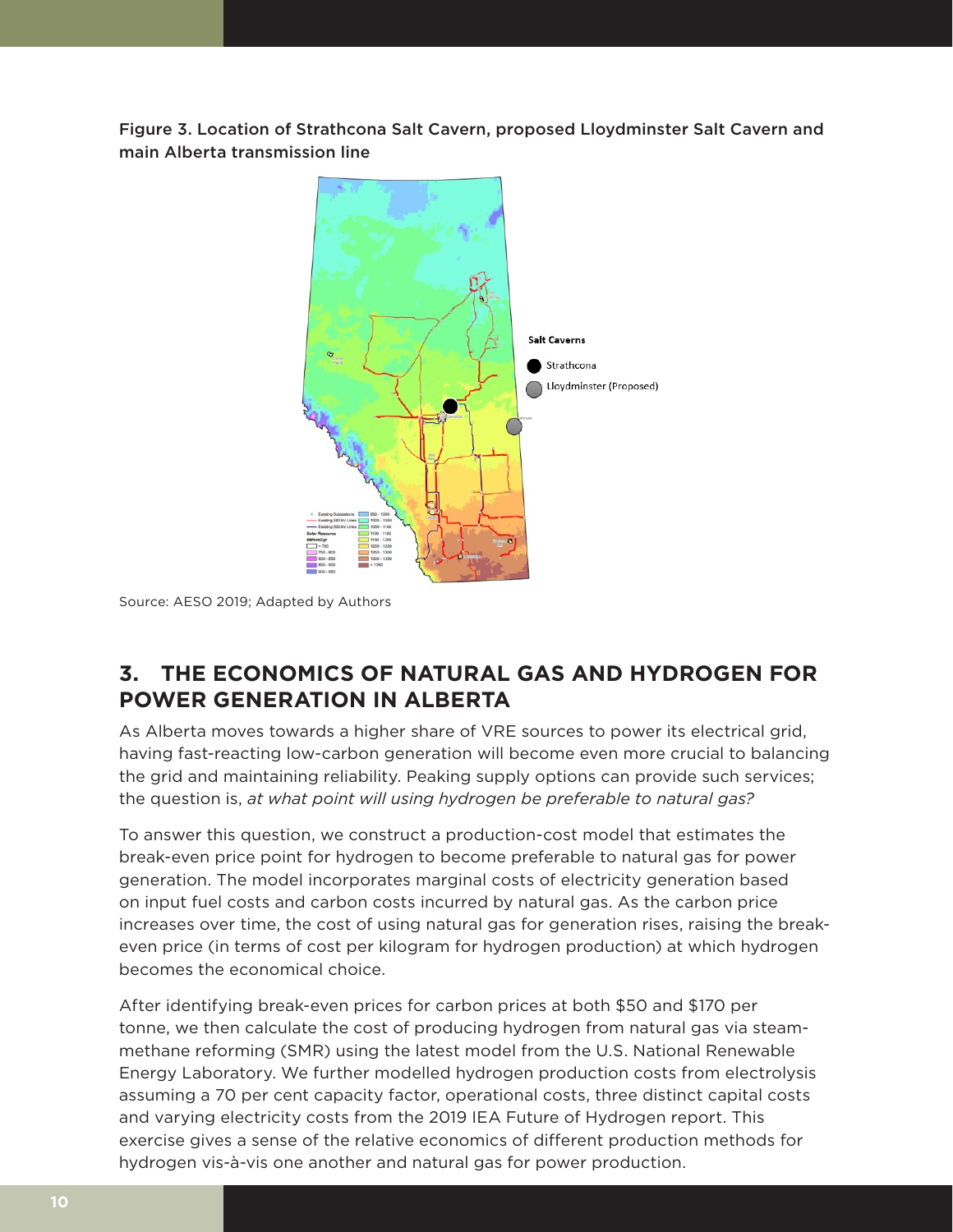Figure 3. Location of Strathcona Salt Cavern, proposed Lloydminster Salt Cavern and main Alberta transmission line



Source: AESO 2019; Adapted by Authors

# **3. THE ECONOMICS OF NATURAL GAS AND HYDROGEN FOR POWER GENERATION IN ALBERTA**

As Alberta moves towards a higher share of VRE sources to power its electrical grid, having fast-reacting low-carbon generation will become even more crucial to balancing the grid and maintaining reliability. Peaking supply options can provide such services; the question is, *at what point will using hydrogen be preferable to natural gas?*

To answer this question, we construct a production-cost model that estimates the break-even price point for hydrogen to become preferable to natural gas for power generation. The model incorporates marginal costs of electricity generation based on input fuel costs and carbon costs incurred by natural gas. As the carbon price increases over time, the cost of using natural gas for generation rises, raising the breakeven price (in terms of cost per kilogram for hydrogen production) at which hydrogen becomes the economical choice.

After identifying break-even prices for carbon prices at both \$50 and \$170 per tonne, we then calculate the cost of producing hydrogen from natural gas via steammethane reforming (SMR) using the latest model from the U.S. National Renewable Energy Laboratory. We further modelled hydrogen production costs from electrolysis assuming a 70 per cent capacity factor, operational costs, three distinct capital costs and varying electricity costs from the 2019 IEA Future of Hydrogen report. This exercise gives a sense of the relative economics of different production methods for hydrogen vis-à-vis one another and natural gas for power production.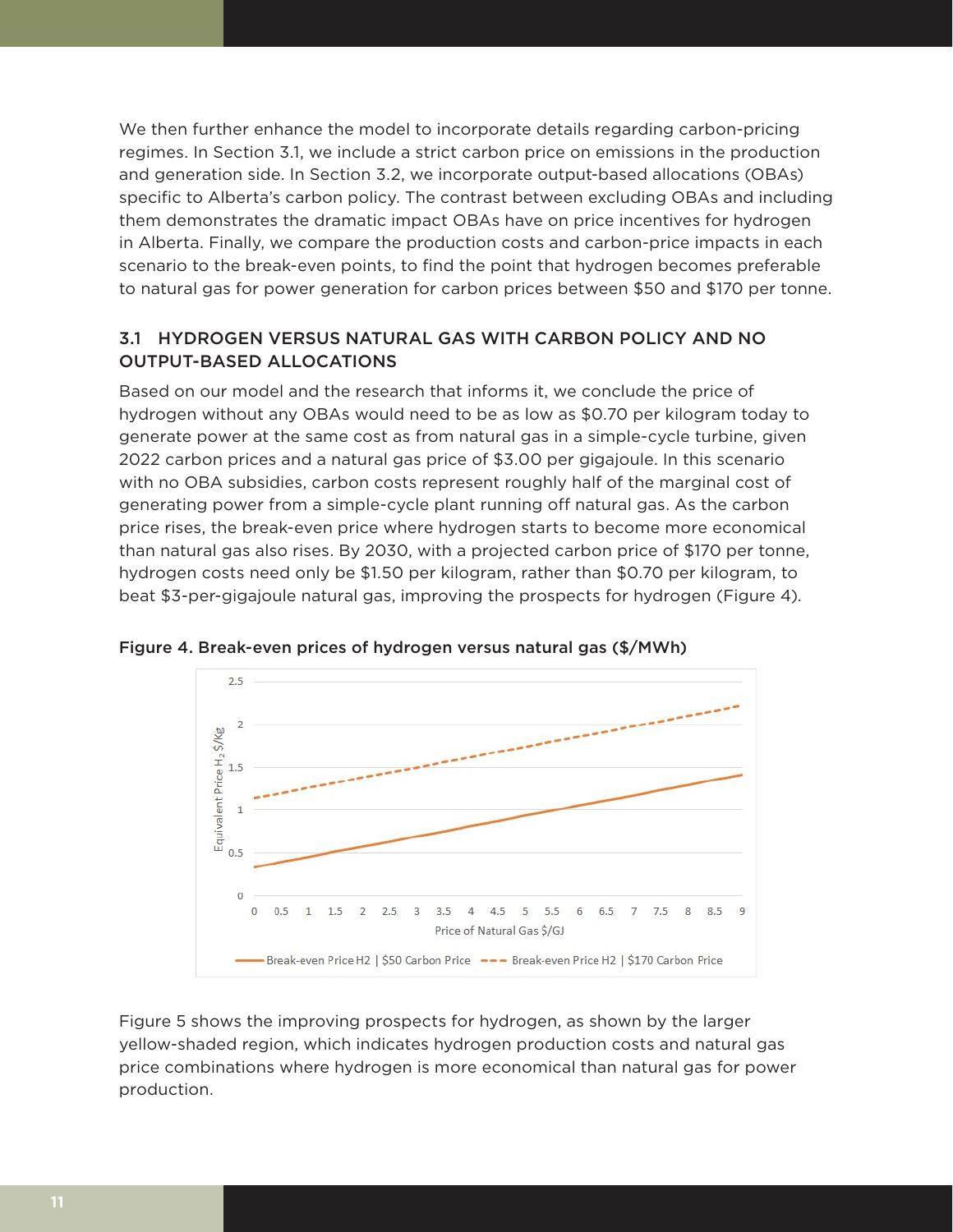We then further enhance the model to incorporate details regarding carbon-pricing regimes. In Section 3.1, we include a strict carbon price on emissions in the production and generation side. In Section 3.2, we incorporate output-based allocations (OBAs) specific to Alberta's carbon policy. The contrast between excluding OBAs and including them demonstrates the dramatic impact OBAs have on price incentives for hydrogen in Alberta. Finally, we compare the production costs and carbon-price impacts in each scenario to the break-even points, to find the point that hydrogen becomes preferable to natural gas for power generation for carbon prices between \$50 and \$170 per tonne.

# 3.1 HYDROGEN VERSUS NATURAL GAS WITH CARBON POLICY AND NO OUTPUT-BASED ALLOCATIONS

Based on our model and the research that informs it, we conclude the price of hydrogen without any OBAs would need to be as low as \$0.70 per kilogram today to generate power at the same cost as from natural gas in a simple-cycle turbine, given 2022 carbon prices and a natural gas price of \$3.00 per gigajoule. In this scenario with no OBA subsidies, carbon costs represent roughly half of the marginal cost of generating power from a simple-cycle plant running off natural gas. As the carbon price rises, the break-even price where hydrogen starts to become more economical than natural gas also rises. By 2030, with a projected carbon price of \$170 per tonne, hydrogen costs need only be \$1.50 per kilogram, rather than \$0.70 per kilogram, to beat \$3-per-gigajoule natural gas, improving the prospects for hydrogen (Figure 4).



Figure 4. Break-even prices of hydrogen versus natural gas (\$/MWh)

Figure 5 shows the improving prospects for hydrogen, as shown by the larger yellow-shaded region, which indicates hydrogen production costs and natural gas price combinations where hydrogen is more economical than natural gas for power production.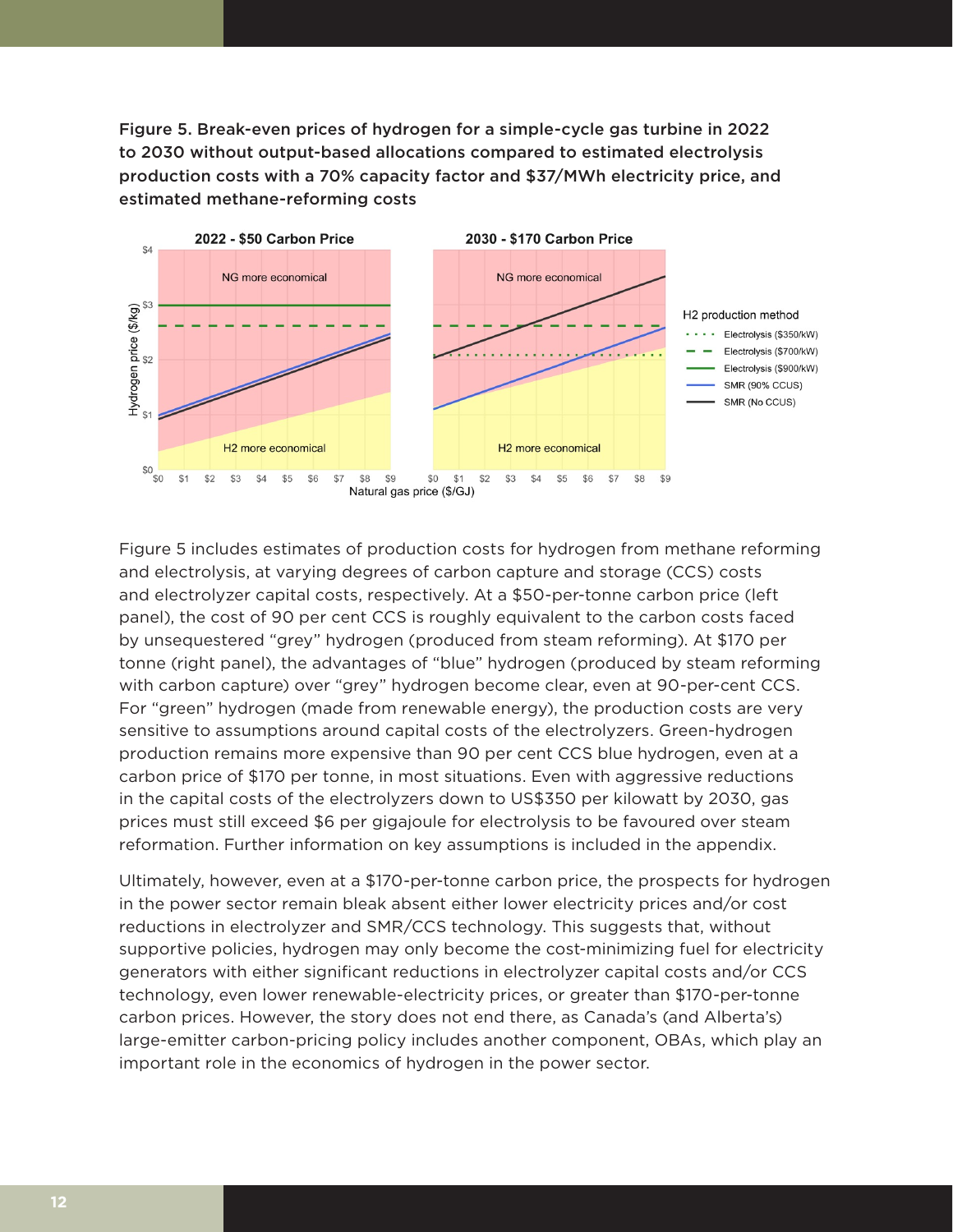Figure 5. Break-even prices of hydrogen for a simple-cycle gas turbine in 2022 to 2030 without output-based allocations compared to estimated electrolysis production costs with a 70% capacity factor and \$37/MWh electricity price, and estimated methane-reforming costs



Figure 5 includes estimates of production costs for hydrogen from methane reforming and electrolysis, at varying degrees of carbon capture and storage (CCS) costs and electrolyzer capital costs, respectively. At a \$50-per-tonne carbon price (left panel), the cost of 90 per cent CCS is roughly equivalent to the carbon costs faced by unsequestered "grey" hydrogen (produced from steam reforming). At \$170 per tonne (right panel), the advantages of "blue" hydrogen (produced by steam reforming with carbon capture) over "grey" hydrogen become clear, even at 90-per-cent CCS. For "green" hydrogen (made from renewable energy), the production costs are very sensitive to assumptions around capital costs of the electrolyzers. Green-hydrogen production remains more expensive than 90 per cent CCS blue hydrogen, even at a carbon price of \$170 per tonne, in most situations. Even with aggressive reductions in the capital costs of the electrolyzers down to US\$350 per kilowatt by 2030, gas prices must still exceed \$6 per gigajoule for electrolysis to be favoured over steam reformation. Further information on key assumptions is included in the appendix.

Ultimately, however, even at a \$170-per-tonne carbon price, the prospects for hydrogen in the power sector remain bleak absent either lower electricity prices and/or cost reductions in electrolyzer and SMR/CCS technology. This suggests that, without supportive policies, hydrogen may only become the cost-minimizing fuel for electricity generators with either significant reductions in electrolyzer capital costs and/or CCS technology, even lower renewable-electricity prices, or greater than \$170-per-tonne carbon prices. However, the story does not end there, as Canada's (and Alberta's) large-emitter carbon-pricing policy includes another component, OBAs, which play an important role in the economics of hydrogen in the power sector.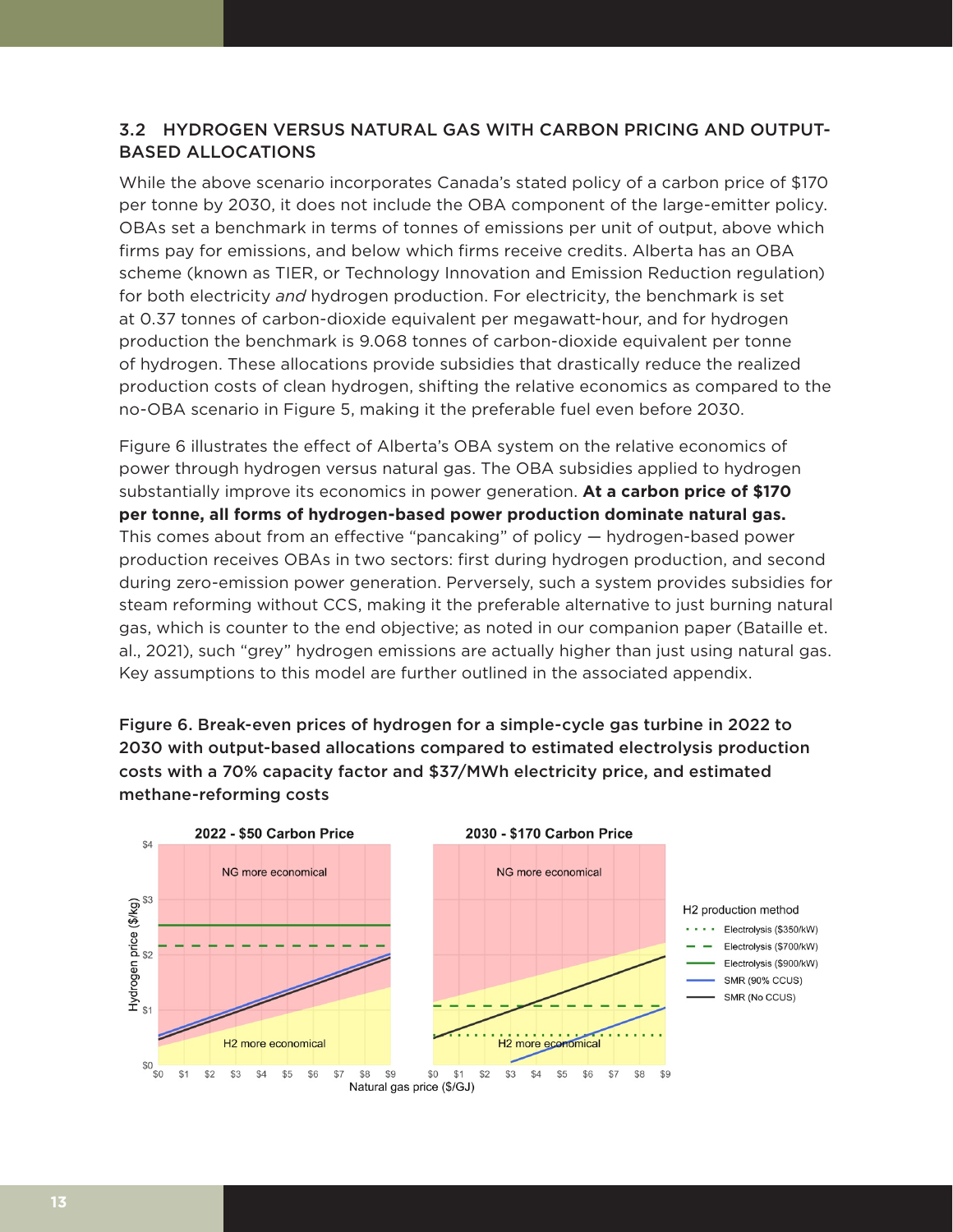# 3.2 HYDROGEN VERSUS NATURAL GAS WITH CARBON PRICING AND OUTPUT-BASED ALLOCATIONS

While the above scenario incorporates Canada's stated policy of a carbon price of \$170 per tonne by 2030, it does not include the OBA component of the large-emitter policy. OBAs set a benchmark in terms of tonnes of emissions per unit of output, above which firms pay for emissions, and below which firms receive credits. Alberta has an OBA scheme (known as TIER, or Technology Innovation and Emission Reduction regulation) for both electricity *and* hydrogen production. For electricity, the benchmark is set at 0.37 tonnes of carbon-dioxide equivalent per megawatt-hour, and for hydrogen production the benchmark is 9.068 tonnes of carbon-dioxide equivalent per tonne of hydrogen. These allocations provide subsidies that drastically reduce the realized production costs of clean hydrogen, shifting the relative economics as compared to the no-OBA scenario in Figure 5, making it the preferable fuel even before 2030.

Figure 6 illustrates the effect of Alberta's OBA system on the relative economics of power through hydrogen versus natural gas. The OBA subsidies applied to hydrogen substantially improve its economics in power generation. **At a carbon price of \$170 per tonne, all forms of hydrogen-based power production dominate natural gas.**  This comes about from an effective "pancaking" of policy — hydrogen-based power production receives OBAs in two sectors: first during hydrogen production, and second during zero-emission power generation. Perversely, such a system provides subsidies for steam reforming without CCS, making it the preferable alternative to just burning natural gas, which is counter to the end objective; as noted in our companion paper (Bataille et. al., 2021), such "grey" hydrogen emissions are actually higher than just using natural gas. Key assumptions to this model are further outlined in the associated appendix.

Figure 6. Break-even prices of hydrogen for a simple-cycle gas turbine in 2022 to 2030 with output-based allocations compared to estimated electrolysis production costs with a 70% capacity factor and \$37/MWh electricity price, and estimated methane-reforming costs

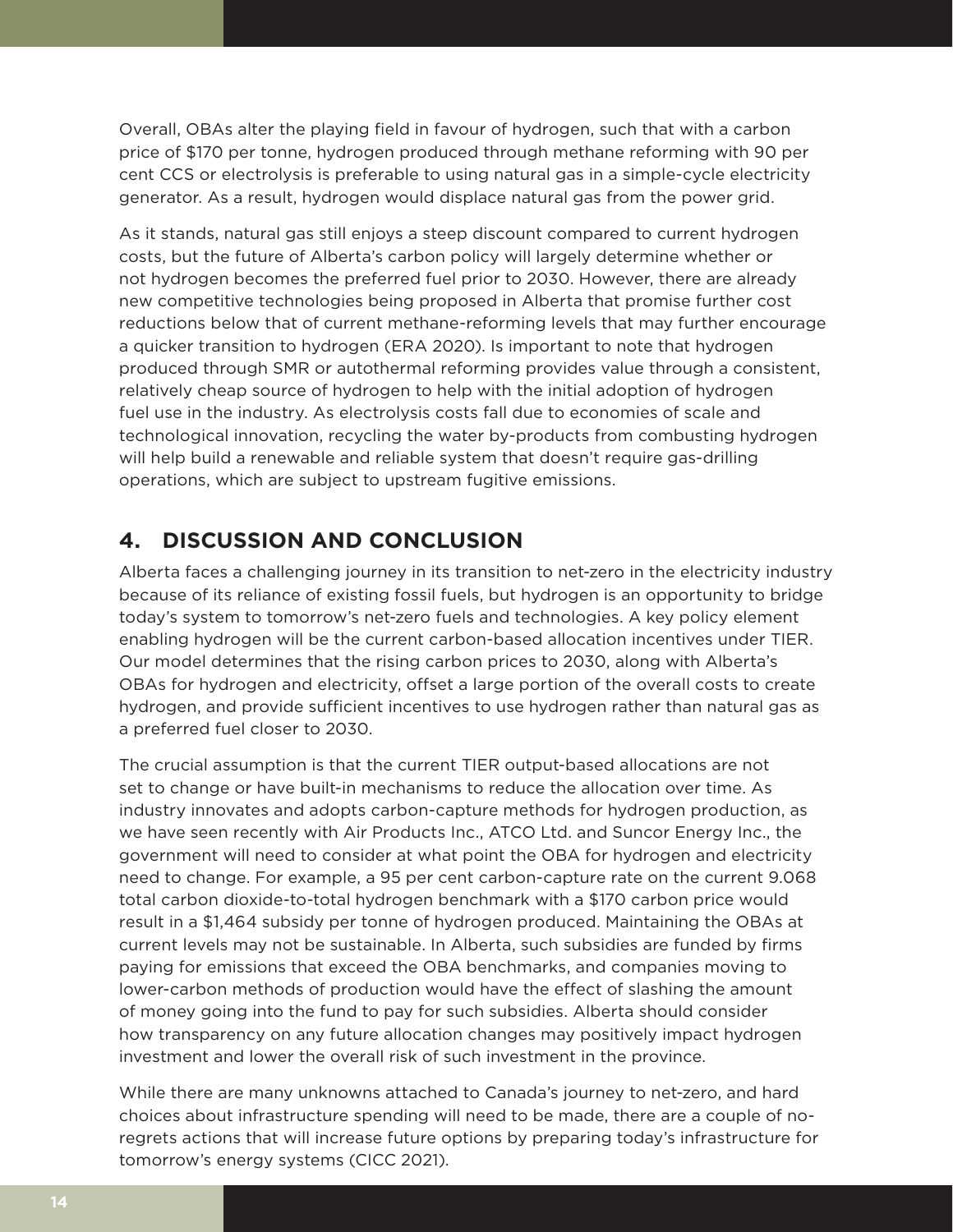Overall, OBAs alter the playing field in favour of hydrogen, such that with a carbon price of \$170 per tonne, hydrogen produced through methane reforming with 90 per cent CCS or electrolysis is preferable to using natural gas in a simple-cycle electricity generator. As a result, hydrogen would displace natural gas from the power grid.

As it stands, natural gas still enjoys a steep discount compared to current hydrogen costs, but the future of Alberta's carbon policy will largely determine whether or not hydrogen becomes the preferred fuel prior to 2030. However, there are already new competitive technologies being proposed in Alberta that promise further cost reductions below that of current methane-reforming levels that may further encourage a quicker transition to hydrogen (ERA 2020). Is important to note that hydrogen produced through SMR or autothermal reforming provides value through a consistent, relatively cheap source of hydrogen to help with the initial adoption of hydrogen fuel use in the industry. As electrolysis costs fall due to economies of scale and technological innovation, recycling the water by-products from combusting hydrogen will help build a renewable and reliable system that doesn't require gas-drilling operations, which are subject to upstream fugitive emissions.

# **4. DISCUSSION AND CONCLUSION**

Alberta faces a challenging journey in its transition to net-zero in the electricity industry because of its reliance of existing fossil fuels, but hydrogen is an opportunity to bridge today's system to tomorrow's net-zero fuels and technologies. A key policy element enabling hydrogen will be the current carbon-based allocation incentives under TIER. Our model determines that the rising carbon prices to 2030, along with Alberta's OBAs for hydrogen and electricity, offset a large portion of the overall costs to create hydrogen, and provide sufficient incentives to use hydrogen rather than natural gas as a preferred fuel closer to 2030.

The crucial assumption is that the current TIER output-based allocations are not set to change or have built-in mechanisms to reduce the allocation over time. As industry innovates and adopts carbon-capture methods for hydrogen production, as we have seen recently with Air Products Inc., ATCO Ltd. and Suncor Energy Inc., the government will need to consider at what point the OBA for hydrogen and electricity need to change. For example, a 95 per cent carbon-capture rate on the current 9.068 total carbon dioxide-to-total hydrogen benchmark with a \$170 carbon price would result in a \$1,464 subsidy per tonne of hydrogen produced. Maintaining the OBAs at current levels may not be sustainable. In Alberta, such subsidies are funded by firms paying for emissions that exceed the OBA benchmarks, and companies moving to lower-carbon methods of production would have the effect of slashing the amount of money going into the fund to pay for such subsidies. Alberta should consider how transparency on any future allocation changes may positively impact hydrogen investment and lower the overall risk of such investment in the province.

While there are many unknowns attached to Canada's journey to net-zero, and hard choices about infrastructure spending will need to be made, there are a couple of noregrets actions that will increase future options by preparing today's infrastructure for tomorrow's energy systems (CICC 2021).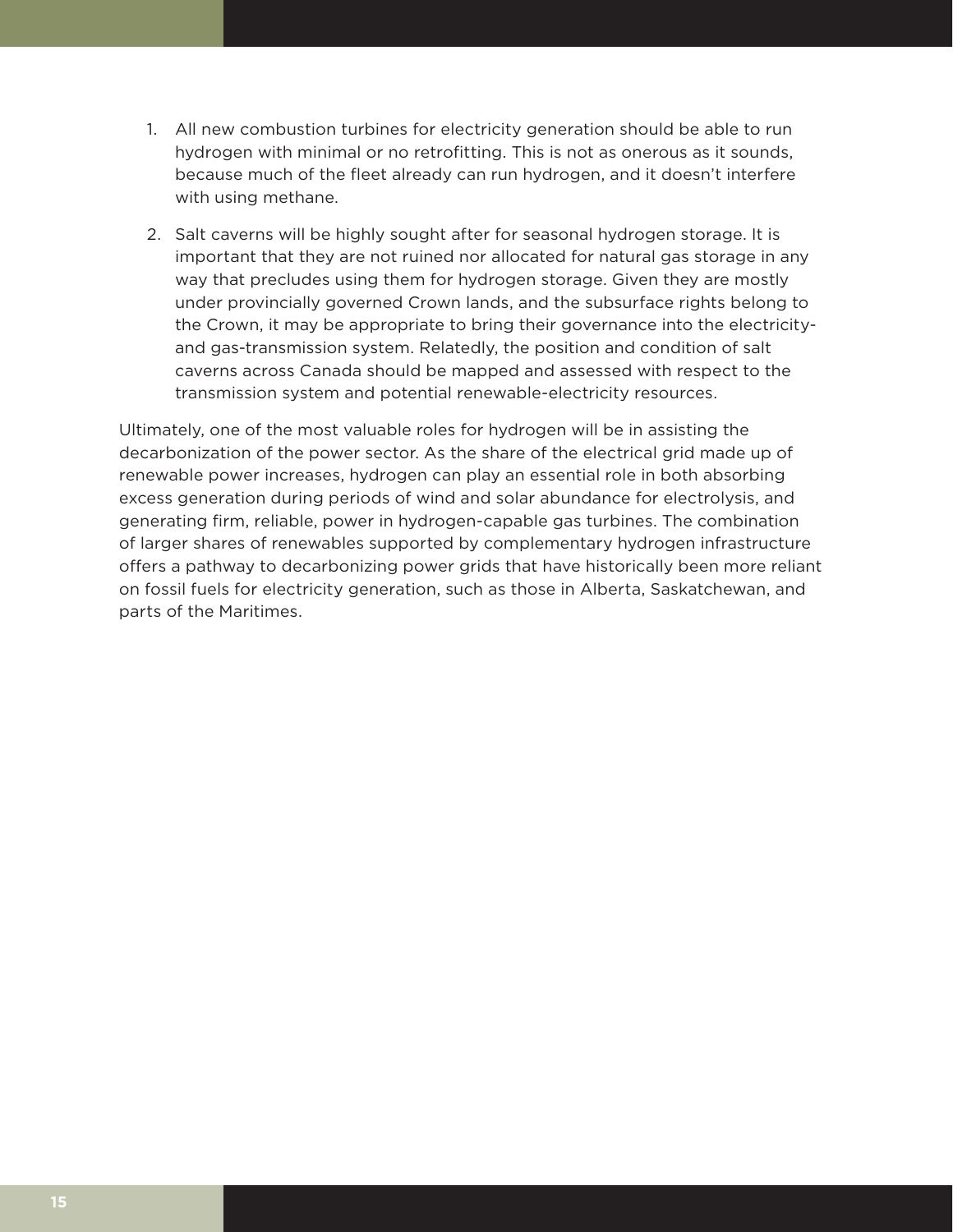- 1. All new combustion turbines for electricity generation should be able to run hydrogen with minimal or no retrofitting. This is not as onerous as it sounds, because much of the fleet already can run hydrogen, and it doesn't interfere with using methane.
- 2. Salt caverns will be highly sought after for seasonal hydrogen storage. It is important that they are not ruined nor allocated for natural gas storage in any way that precludes using them for hydrogen storage. Given they are mostly under provincially governed Crown lands, and the subsurface rights belong to the Crown, it may be appropriate to bring their governance into the electricityand gas-transmission system. Relatedly, the position and condition of salt caverns across Canada should be mapped and assessed with respect to the transmission system and potential renewable-electricity resources.

Ultimately, one of the most valuable roles for hydrogen will be in assisting the decarbonization of the power sector. As the share of the electrical grid made up of renewable power increases, hydrogen can play an essential role in both absorbing excess generation during periods of wind and solar abundance for electrolysis, and generating firm, reliable, power in hydrogen-capable gas turbines. The combination of larger shares of renewables supported by complementary hydrogen infrastructure offers a pathway to decarbonizing power grids that have historically been more reliant on fossil fuels for electricity generation, such as those in Alberta, Saskatchewan, and parts of the Maritimes.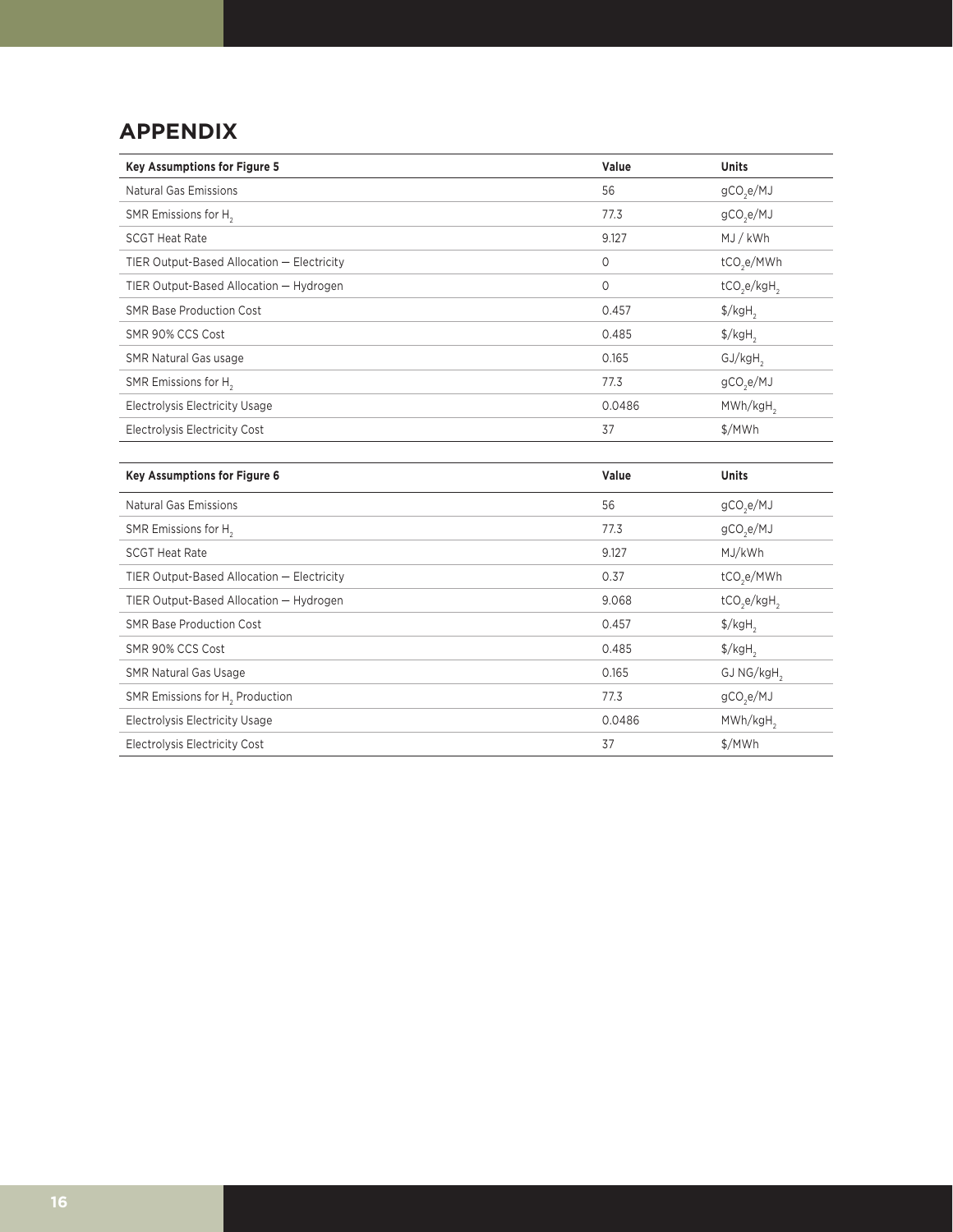# **APPENDIX**

| <b>Key Assumptions for Figure 5</b>        | Value  | <b>Units</b>                    |
|--------------------------------------------|--------|---------------------------------|
| Natural Gas Emissions                      | 56     | gCO <sub>2</sub> e/MJ           |
| SMR Emissions for H <sub>2</sub>           | 77.3   | gCO <sub>2</sub> e/MJ           |
| <b>SCGT Heat Rate</b>                      | 9.127  | MJ/kWh                          |
| TIER Output-Based Allocation - Electricity | 0      | tCO <sub>2</sub> e/MWh          |
| TIER Output-Based Allocation - Hydrogen    | 0      | $tCO,e/kgH$ ,                   |
| <b>SMR Base Production Cost</b>            | 0.457  | $\frac{1}{2}$ /kgH <sub>2</sub> |
| SMR 90% CCS Cost                           | 0.485  | $\frac{1}{2}$ /kgH <sub>2</sub> |
| <b>SMR Natural Gas usage</b>               | 0.165  | GJ/kgH                          |
| SMR Emissions for H <sub>2</sub>           | 77.3   | gCO <sub>2</sub> e/MJ           |
| Electrolysis Electricity Usage             | 0.0486 | MWh/kgH <sub>2</sub>            |
| Electrolysis Electricity Cost              | 37     | \$/MWh                          |
|                                            |        |                                 |

| <b>Key Assumptions for Figure 6</b>         | Value  | <b>Units</b>                    |
|---------------------------------------------|--------|---------------------------------|
| Natural Gas Emissions                       | 56     | gCO <sub>2</sub> e/MJ           |
| SMR Emissions for H <sub>2</sub>            | 77.3   | gCO <sub>2</sub> e/MJ           |
| <b>SCGT Heat Rate</b>                       | 9.127  | MJ/kWh                          |
| TIER Output-Based Allocation - Electricity  | 0.37   | tCO <sub>2</sub> e/MWh          |
| TIER Output-Based Allocation - Hydrogen     | 9.068  | $tCO_2e/kgH_2$                  |
| <b>SMR Base Production Cost</b>             | 0.457  | $\frac{1}{2}$ /kgH <sub>2</sub> |
| SMR 90% CCS Cost                            | 0.485  | $\frac{1}{2}$ /kgH <sub>2</sub> |
| <b>SMR Natural Gas Usage</b>                | 0.165  | GJ NG/kgH <sub>2</sub>          |
| SMR Emissions for H <sub>2</sub> Production | 77.3   | gCO <sub>2</sub> e/MJ           |
| Electrolysis Electricity Usage              | 0.0486 | MWh/kgH <sub>2</sub>            |
| Electrolysis Electricity Cost               | 37     | \$/MWh                          |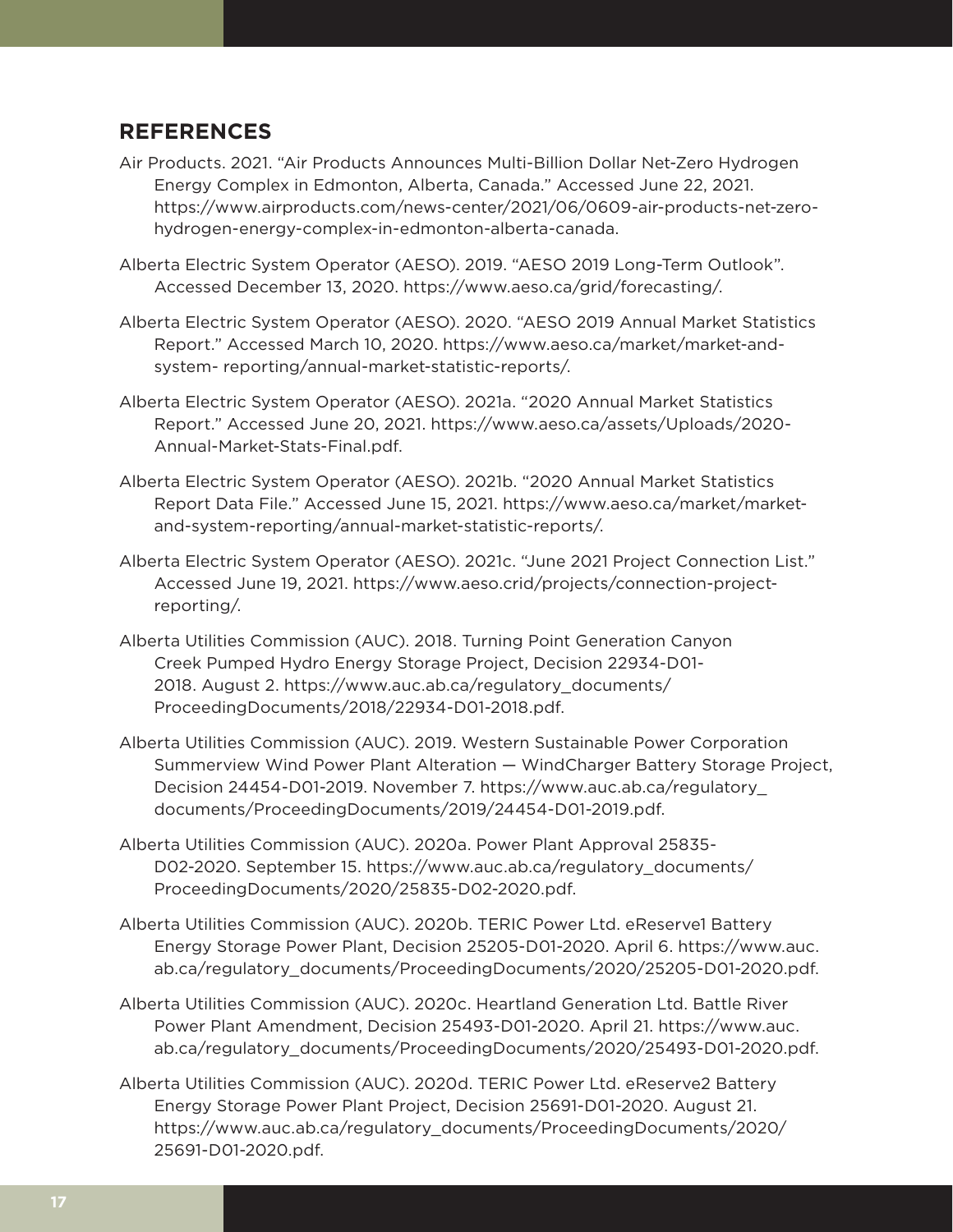# **REFERENCES**

- Air Products. 2021. "Air Products Announces Multi-Billion Dollar Net-Zero Hydrogen Energy Complex in Edmonton, Alberta, Canada." Accessed June 22, 2021. [https://www.airproducts.com/news-center/2021/06/0609-air-products-net-zero](https://www.airproducts.com/news-center/2021/06/0609-air-products-net-zero-hydrogen-energy-complex-in-edmonton-alberta-canada)[hydrogen-energy-complex-in-edmonton-alberta-canada](https://www.airproducts.com/news-center/2021/06/0609-air-products-net-zero-hydrogen-energy-complex-in-edmonton-alberta-canada).
- Alberta Electric System Operator (AESO). 2019. "AESO 2019 Long-Term Outlook". Accessed December 13, 2020. [https://www.aeso.ca/grid/forecasting/.](https://www.aeso.ca/grid/forecasting/)
- Alberta Electric System Operator (AESO). 2020. "AESO 2019 Annual Market Statistics Report." Accessed March 10, 2020. [https://www.aeso.ca/market/market-and](https://www.aeso.ca/market/market-and-system-%20reporting/annual-market-statistic-reports/)[system- reporting/annual-market-statistic-reports/](https://www.aeso.ca/market/market-and-system-%20reporting/annual-market-statistic-reports/).
- Alberta Electric System Operator (AESO). 2021a. "2020 Annual Market Statistics Report." Accessed June 20, 2021. [https://www.aeso.ca/assets/Uploads/2020-](https://www.aeso.ca/assets/Uploads/2020-Annual-Market-Stats-Final.pdf) [Annual-Market-Stats-Final.pdf](https://www.aeso.ca/assets/Uploads/2020-Annual-Market-Stats-Final.pdf).
- Alberta Electric System Operator (AESO). 2021b. "2020 Annual Market Statistics Report Data File." Accessed June 15, 2021. https://www.aeso.ca/market/marketand-system-reporting/annual-market-statistic-reports/.
- Alberta Electric System Operator (AESO). 2021c. "June 2021 Project Connection List." Accessed June 19, 2021. https://www.aeso.crid/projects/connection-projectreporting/.
- Alberta Utilities Commission (AUC). 2018. Turning Point Generation Canyon Creek Pumped Hydro Energy Storage Project, Decision 22934-D01- 2018. August 2. [https://www.auc.ab.ca/regulatory\\_documents/](https://www.auc.ab.ca/regulatory_documents/ProceedingDocuments/2018/22934-D01-2018.pdf) [ProceedingDocuments/2018/22934-D01-2018.pdf](https://www.auc.ab.ca/regulatory_documents/ProceedingDocuments/2018/22934-D01-2018.pdf).
- Alberta Utilities Commission (AUC). 2019. Western Sustainable Power Corporation Summerview Wind Power Plant Alteration — WindCharger Battery Storage Project, Decision 24454-D01-2019. November 7. [https://www.auc.ab.ca/regulatory\\_](https://www.auc.ab.ca/regulatory_documents/ProceedingDocuments/2019/24454-D01-2019.pdf) [documents/ProceedingDocuments/2019/24454-D01-2019.pdf.](https://www.auc.ab.ca/regulatory_documents/ProceedingDocuments/2019/24454-D01-2019.pdf)
- Alberta Utilities Commission (AUC). 2020a. Power Plant Approval 25835- D02-2020. September 15. [https://www.auc.ab.ca/regulatory\\_documents/](https://www.auc.ab.ca/regulatory_documents/ProceedingDocuments/2020/25835-D02-2020.pdf) [ProceedingDocuments/2020/25835-D02-2020.pdf.](https://www.auc.ab.ca/regulatory_documents/ProceedingDocuments/2020/25835-D02-2020.pdf)
- Alberta Utilities Commission (AUC). 2020b. TERIC Power Ltd. eReserve1 Battery Energy Storage Power Plant, Decision 25205-D01-2020. April 6. [https://www.auc.](https://www.auc.ab.ca/regulatory_documents/ProceedingDocuments/2020/25205-D01-2020.pdf) [ab.ca/regulatory\\_documents/ProceedingDocuments/2020/25205-D01-2020.pdf.](https://www.auc.ab.ca/regulatory_documents/ProceedingDocuments/2020/25205-D01-2020.pdf)
- Alberta Utilities Commission (AUC). 2020c. Heartland Generation Ltd. Battle River Power Plant Amendment, Decision 25493-D01-2020. April 21. [https://www.auc.](https://www.auc.ab.ca/regulatory_documents/ProceedingDocuments/2020/25493-D01-2020.pdf) [ab.ca/regulatory\\_documents/ProceedingDocuments/2020/25493-D01-2020.pdf.](https://www.auc.ab.ca/regulatory_documents/ProceedingDocuments/2020/25493-D01-2020.pdf)
- Alberta Utilities Commission (AUC). 2020d. TERIC Power Ltd. eReserve2 Battery Energy Storage Power Plant Project, Decision 25691-D01-2020. August 21. [https://www.auc.ab.ca/regulatory\\_documents/ProceedingDocuments/2020/](https://www.auc.ab.ca/regulatory_documents/ProceedingDocuments/2020/25691-D01-2020.pdf) [25691-D01-2020.pdf.](https://www.auc.ab.ca/regulatory_documents/ProceedingDocuments/2020/25691-D01-2020.pdf)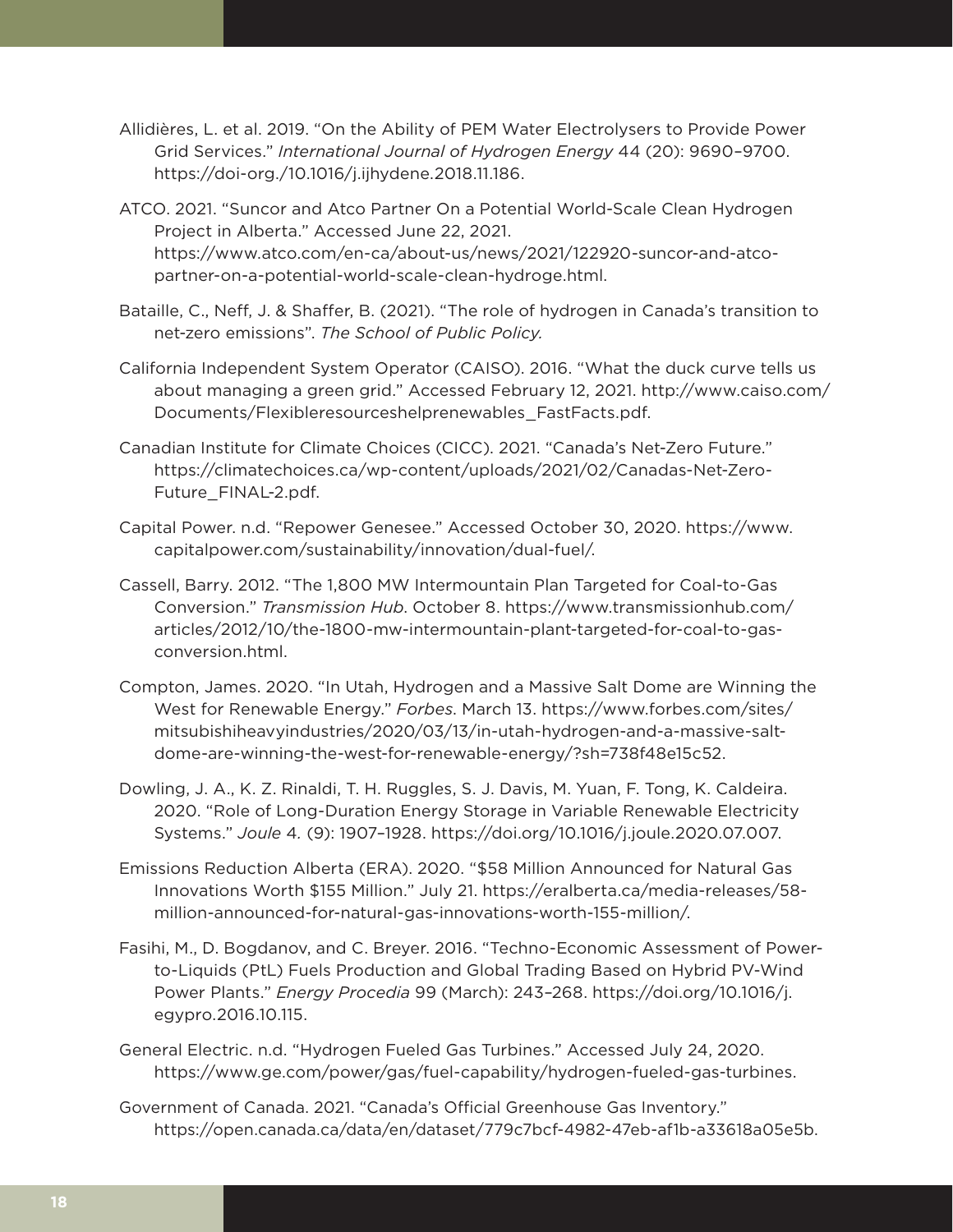- Allidières, L. et al. 2019. "On the Ability of PEM Water Electrolysers to Provide Power Grid Services." *International Journal of Hydrogen Energy* 44 (20): 9690–9700. [https://doi-org./10.1016/j.ijhydene.2018.11.186.](https://doi-org./10.1016/j.ijhydene.2018.11.186)
- ATCO. 2021. "Suncor and Atco Partner On a Potential World-Scale Clean Hydrogen Project in Alberta." Accessed June 22, 2021. https://www.atco.com/en-ca/about-us/news/2021/122920-suncor-and-atcopartner-on-a-potential-world-scale-clean-hydroge.html.
- Bataille, C., Neff, J. & Shaffer, B. (2021). "The role of hydrogen in Canada's transition to net-zero emissions". *The School of Public Policy.*
- California Independent System Operator (CAISO). 2016. "What the duck curve tells us about managing a green grid." Accessed February 12, 2021. [http://www.caiso.com/](http://www.caiso.com/Documents/Flexibleresourceshelprenewables_FastFacts.pdf) [Documents/Flexibleresourceshelprenewables\\_FastFacts.pdf.](http://www.caiso.com/Documents/Flexibleresourceshelprenewables_FastFacts.pdf)
- Canadian Institute for Climate Choices (CICC). 2021. "Canada's Net-Zero Future." [https://climatechoices.ca/wp-content/uploads/2021/02/Canadas-Net-Zero-](https://climatechoices.ca/wp-content/uploads/2021/02/Canadas-Net-Zero-Future_FINAL-2.pdf)[Future\\_FINAL-2.pdf.](https://climatechoices.ca/wp-content/uploads/2021/02/Canadas-Net-Zero-Future_FINAL-2.pdf)
- Capital Power. n.d. "Repower Genesee." Accessed October 30, 2020. [https://www.](https://www.capitalpower.com/sustainability/innovation/dual-fuel/) [capitalpower.com/sustainability/innovation/dual-fuel/](https://www.capitalpower.com/sustainability/innovation/dual-fuel/).
- Cassell, Barry. 2012. "The 1,800 MW Intermountain Plan Targeted for Coal-to-Gas Conversion." *Transmission Hub*. October 8. [https://www.transmissionhub.com/](https://www.transmissionhub.com/articles/2012/10/the-1800-mw-intermountain-plant-targeted-for-coal-to-gas-conversion.html) [articles/2012/10/the-1800-mw-intermountain-plant-targeted-for-coal-to-gas](https://www.transmissionhub.com/articles/2012/10/the-1800-mw-intermountain-plant-targeted-for-coal-to-gas-conversion.html)[conversion.html](https://www.transmissionhub.com/articles/2012/10/the-1800-mw-intermountain-plant-targeted-for-coal-to-gas-conversion.html).
- Compton, James. 2020. "In Utah, Hydrogen and a Massive Salt Dome are Winning the West for Renewable Energy." *Forbes*. March 13. [https://www.forbes.com/sites/](https://www.forbes.com/sites/mitsubishiheavyindustries/2020/03/13/in-utah-hydrogen-and-a-massive-salt-dome-are-winning-the-west-for-renewable-energy/?sh=738f48e15c52) [mitsubishiheavyindustries/2020/03/13/in-utah-hydrogen-and-a-massive-salt](https://www.forbes.com/sites/mitsubishiheavyindustries/2020/03/13/in-utah-hydrogen-and-a-massive-salt-dome-are-winning-the-west-for-renewable-energy/?sh=738f48e15c52)[dome-are-winning-the-west-for-renewable-energy/?sh=738f48e15c52.](https://www.forbes.com/sites/mitsubishiheavyindustries/2020/03/13/in-utah-hydrogen-and-a-massive-salt-dome-are-winning-the-west-for-renewable-energy/?sh=738f48e15c52)
- Dowling, J. A., K. Z. Rinaldi, T. H. Ruggles, S. J. Davis, M. Yuan, F. Tong, K. Caldeira. 2020. "Role of Long-Duration Energy Storage in Variable Renewable Electricity Systems." *Joule* 4*.* (9): 1907–1928. [https://doi.org/10.1016/j.joule.2020.07.007.](https://doi.org/10.1016/j.joule.2020.07.007)
- Emissions Reduction Alberta (ERA). 2020. "\$58 Million Announced for Natural Gas Innovations Worth \$155 Million." July 21. [https://eralberta.ca/media-releases/58](https://eralberta.ca/media-releases/58-million-announced-for-natural-gas-innovations-worth-155-million/) [million-announced-for-natural-gas-innovations-worth-155-million/](https://eralberta.ca/media-releases/58-million-announced-for-natural-gas-innovations-worth-155-million/).
- Fasihi, M., D. Bogdanov, and C. Breyer. 2016. "Techno-Economic Assessment of Powerto-Liquids (PtL) Fuels Production and Global Trading Based on Hybrid PV-Wind Power Plants." *Energy Procedia* 99 (March): 243–268. [https://doi.org/10.1016/j.](https://doi.org/10.1016/j.egypro.2016.10.115) [egypro.2016.10.115](https://doi.org/10.1016/j.egypro.2016.10.115).
- General Electric. n.d. "Hydrogen Fueled Gas Turbines." Accessed July 24, 2020. <https://www.ge.com/power/gas/fuel-capability/hydrogen-fueled-gas-turbines>.
- Government of Canada. 2021. "Canada's Official Greenhouse Gas Inventory." https://open.canada.ca/data/en/dataset/779c7bcf-4982-47eb-af1b-a33618a05e5b.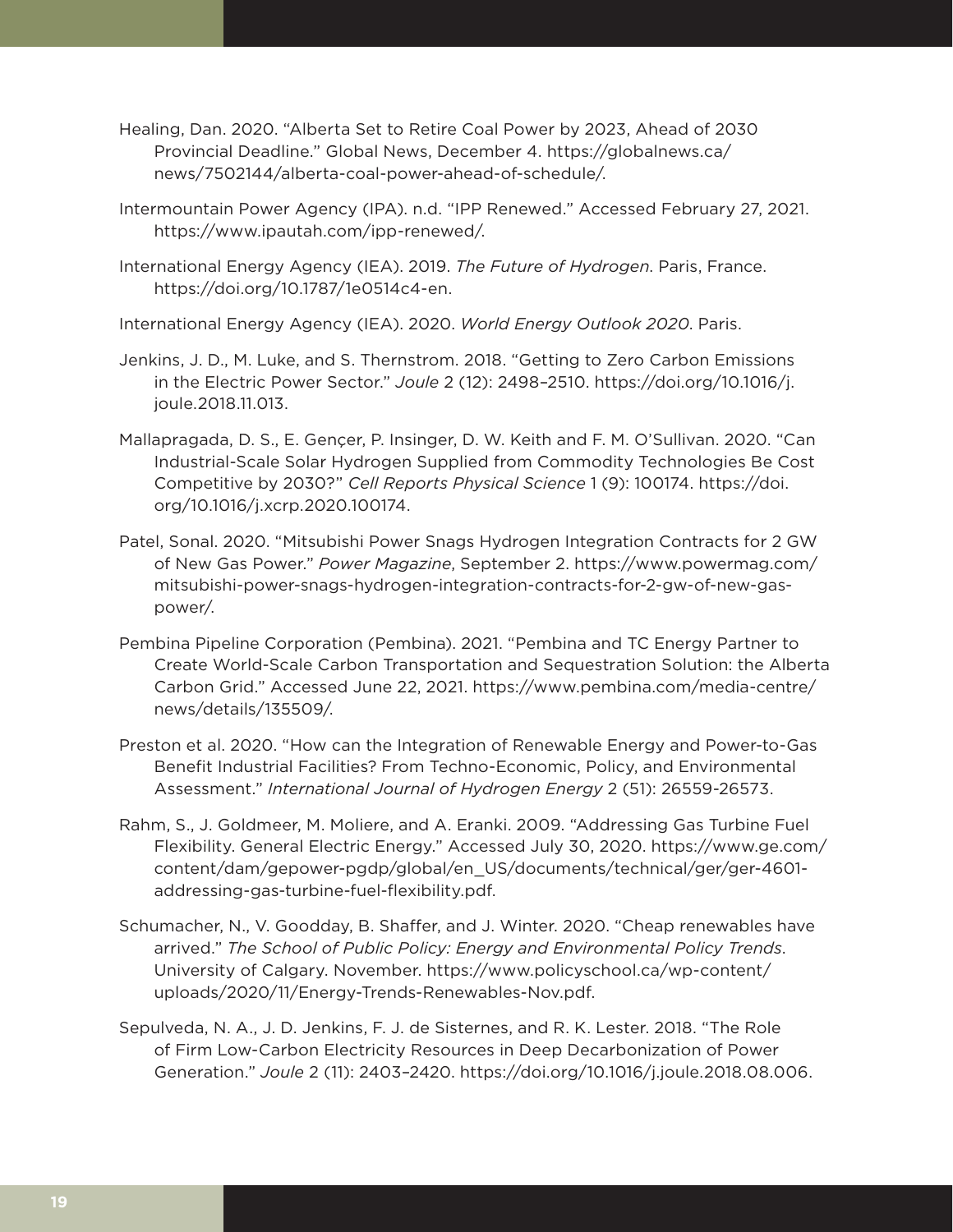- Healing, Dan. 2020. "Alberta Set to Retire Coal Power by 2023, Ahead of 2030 Provincial Deadline." Global News, December 4. [https://globalnews.ca/](https://globalnews.ca/news/7502144/alberta-coal-power-ahead-of-schedule/) [news/7502144/alberta-coal-power-ahead-of-schedule/.](https://globalnews.ca/news/7502144/alberta-coal-power-ahead-of-schedule/)
- Intermountain Power Agency (IPA). n.d. "IPP Renewed." Accessed February 27, 2021. <https://www.ipautah.com/ipp-renewed/>.
- International Energy Agency (IEA). 2019. *The Future of Hydrogen*. Paris, France. <https://doi.org/10.1787/1e0514c4-en>.
- International Energy Agency (IEA). 2020. *World Energy Outlook 2020*. Paris.
- Jenkins, J. D., M. Luke, and S. Thernstrom. 2018. "Getting to Zero Carbon Emissions in the Electric Power Sector." *Joule* 2 (12): 2498–2510. [https://doi.org/10.1016/j.](https://doi.org/10.1016/j.joule.2018.11.013) [joule.2018.11.013.](https://doi.org/10.1016/j.joule.2018.11.013)
- Mallapragada, D. S., E. Gençer, P. Insinger, D. W. Keith and F. M. O'Sullivan. 2020. "Can Industrial-Scale Solar Hydrogen Supplied from Commodity Technologies Be Cost Competitive by 2030?" *Cell Reports Physical Science* 1 (9): 100174. [https://doi.](https://doi.org/10.1016/j.xcrp.2020.100174) [org/10.1016/j.xcrp.2020.100174](https://doi.org/10.1016/j.xcrp.2020.100174).
- Patel, Sonal. 2020. "Mitsubishi Power Snags Hydrogen Integration Contracts for 2 GW of New Gas Power." *Power Magazine*, September 2. [https://www.powermag.com/](https://www.powermag.com/mitsubishi-power-snags-hydrogen-integration-contracts-for-2-gw-of-new-gas-power/) [mitsubishi-power-snags-hydrogen-integration-contracts-for-2-gw-of-new-gas](https://www.powermag.com/mitsubishi-power-snags-hydrogen-integration-contracts-for-2-gw-of-new-gas-power/)[power/](https://www.powermag.com/mitsubishi-power-snags-hydrogen-integration-contracts-for-2-gw-of-new-gas-power/).
- Pembina Pipeline Corporation (Pembina). 2021. "Pembina and TC Energy Partner to Create World-Scale Carbon Transportation and Sequestration Solution: the Alberta Carbon Grid." Accessed June 22, 2021. [https://www.pembina.com/media-centre/](https://www.pembina.com/media-centre/news/details/135509/) [news/details/135509/.](https://www.pembina.com/media-centre/news/details/135509/)
- Preston et al. 2020. "How can the Integration of Renewable Energy and Power-to-Gas Benefit Industrial Facilities? From Techno-Economic, Policy, and Environmental Assessment." *International Journal of Hydrogen Energy* 2 (51): 26559-26573.
- Rahm, S., J. Goldmeer, M. Moliere, and A. Eranki. 2009. "Addressing Gas Turbine Fuel Flexibility. General Electric Energy." Accessed July 30, 2020. [https://www.ge.com/](https://www.ge.com/content/dam/gepower-pgdp/global/en_US/documents/technical/ger/ger-4601-addressing-gas-turbine-fuel-flexibility.pdf) [content/dam/gepower-pgdp/global/en\\_US/documents/technical/ger/ger-4601](https://www.ge.com/content/dam/gepower-pgdp/global/en_US/documents/technical/ger/ger-4601-addressing-gas-turbine-fuel-flexibility.pdf) [addressing-gas-turbine-fuel-flexibility.pdf](https://www.ge.com/content/dam/gepower-pgdp/global/en_US/documents/technical/ger/ger-4601-addressing-gas-turbine-fuel-flexibility.pdf).
- Schumacher, N., V. Goodday, B. Shaffer, and J. Winter. 2020. "Cheap renewables have arrived." *The School of Public Policy: Energy and Environmental Policy Trends*. University of Calgary. November. [https://www.policyschool.ca/wp-content/](https://www.policyschool.ca/wp-content/uploads/2020/11/Energy-Trends-Renewables-Nov.pdf) [uploads/2020/11/Energy-Trends-Renewables-Nov.pdf.](https://www.policyschool.ca/wp-content/uploads/2020/11/Energy-Trends-Renewables-Nov.pdf)
- Sepulveda, N. A., J. D. Jenkins, F. J. de Sisternes, and R. K. Lester. 2018. "The Role of Firm Low-Carbon Electricity Resources in Deep Decarbonization of Power Generation." *Joule* 2 (11): 2403–2420. [https://doi.org/10.1016/j.joule.2018.08.006.](https://doi.org/10.1016/j.joule.2018.08.006)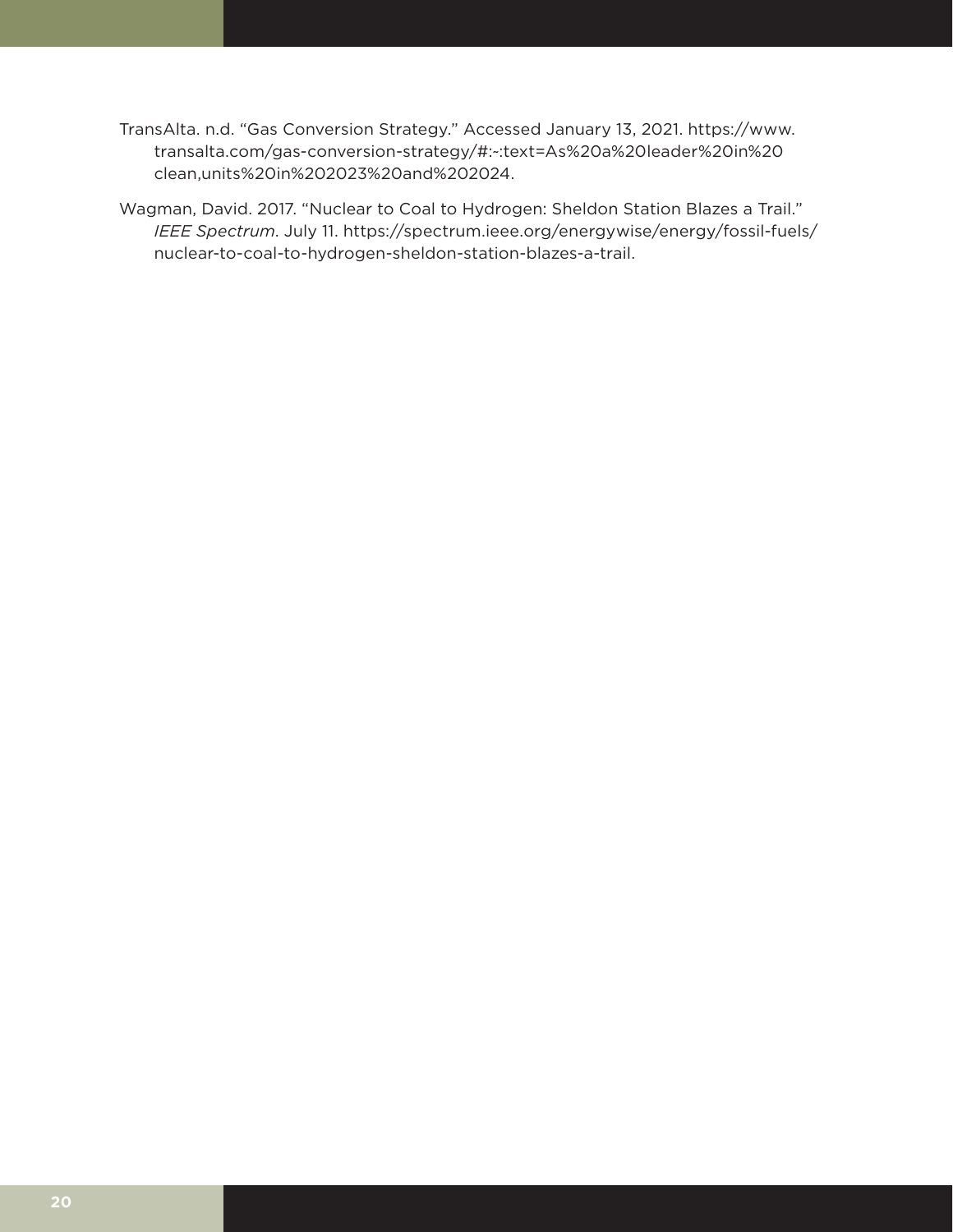- TransAlta. n.d. "Gas Conversion Strategy." Accessed January 13, 2021. https://www. transalta.com/gas-conversion-strategy/#:~:text=As%20a%20leader%20in%20 clean,units%20in%202023%20and%202024.
- Wagman, David. 2017. "Nuclear to Coal to Hydrogen: Sheldon Station Blazes a Trail." *IEEE Spectrum*. July 11. [https://spectrum.ieee.org/energywise/energy/fossil-fuels/](https://spectrum.ieee.org/energywise/energy/fossil-fuels/nuclear-to-coal-to-hydrogen-sheldon-station-blazes-a-trail) [nuclear-to-coal-to-hydrogen-sheldon-station-blazes-a-trail.](https://spectrum.ieee.org/energywise/energy/fossil-fuels/nuclear-to-coal-to-hydrogen-sheldon-station-blazes-a-trail)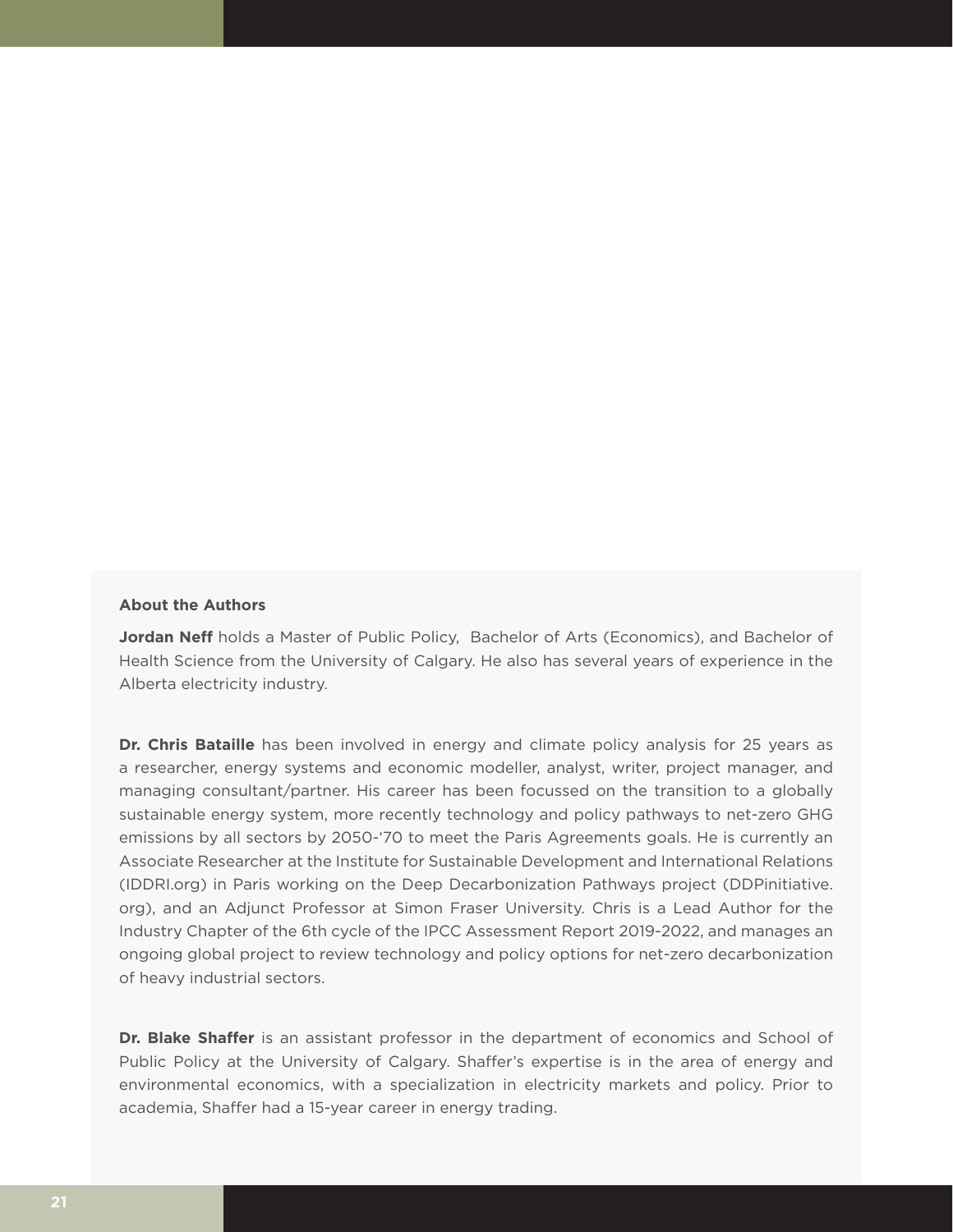## **About the Authors**

**Jordan Neff** holds a Master of Public Policy, Bachelor of Arts (Economics), and Bachelor of Health Science from the University of Calgary. He also has several years of experience in the Alberta electricity industry.

**Dr. Chris Bataille** has been involved in energy and climate policy analysis for 25 years as a researcher, energy systems and economic modeller, analyst, writer, project manager, and managing consultant/partner. His career has been focussed on the transition to a globally sustainable energy system, more recently technology and policy pathways to net-zero GHG emissions by all sectors by 2050-'70 to meet the Paris Agreements goals. He is currently an Associate Researcher at the Institute for Sustainable Development and International Relations (IDDRI.org) in Paris working on the Deep Decarbonization Pathways project (DDPinitiative. org), and an Adjunct Professor at Simon Fraser University. Chris is a Lead Author for the Industry Chapter of the 6th cycle of the IPCC Assessment Report 2019-2022, and manages an ongoing global project to review technology and policy options for net-zero decarbonization of heavy industrial sectors.

**Dr. Blake Shaffer** is an assistant professor in the department of economics and School of Public Policy at the University of Calgary. Shaffer's expertise is in the area of energy and environmental economics, with a specialization in electricity markets and policy. Prior to academia, Shaffer had a 15-year career in energy trading.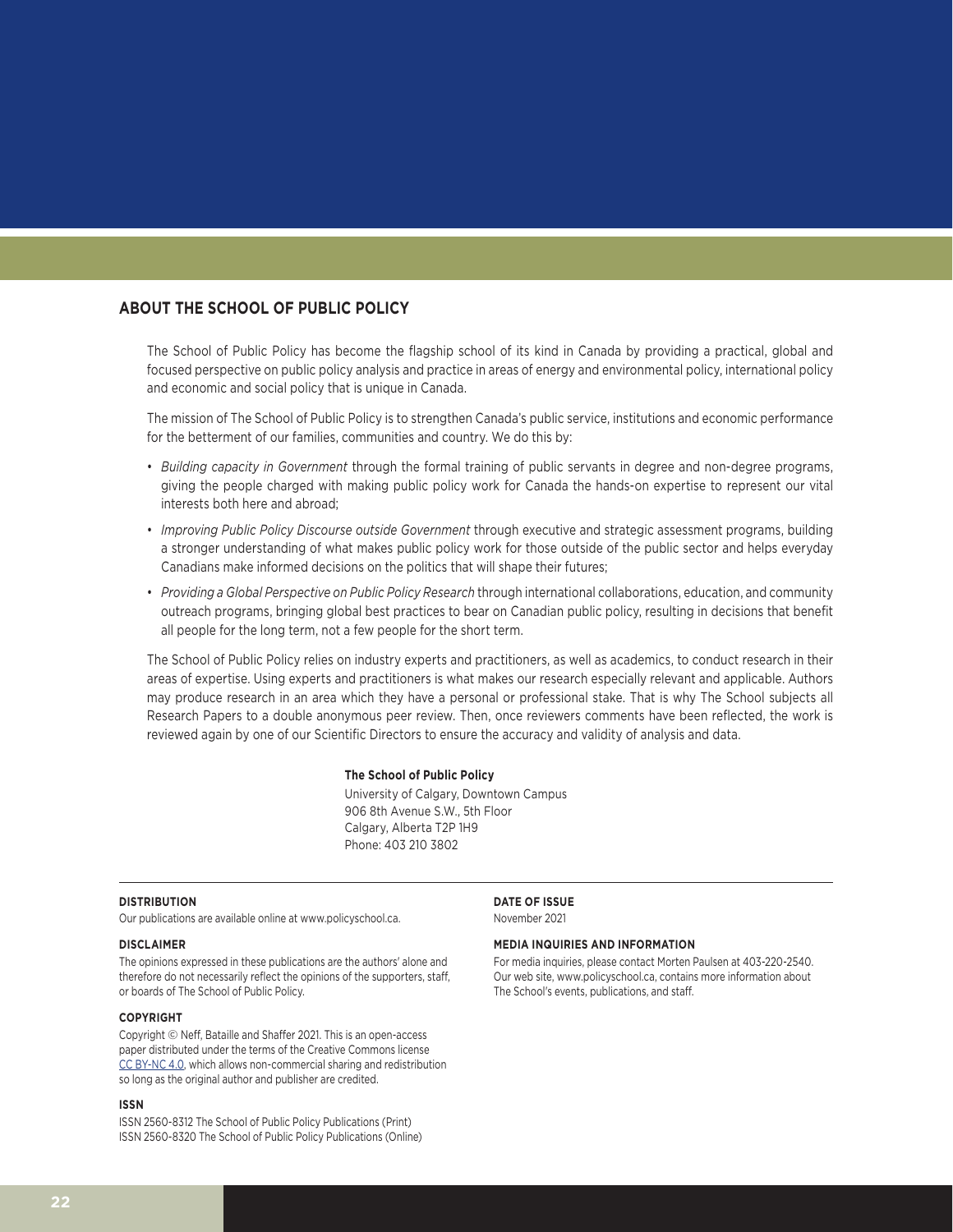## **ABOUT THE SCHOOL OF PUBLIC POLICY**

The School of Public Policy has become the flagship school of its kind in Canada by providing a practical, global and focused perspective on public policy analysis and practice in areas of energy and environmental policy, international policy and economic and social policy that is unique in Canada.

The mission of The School of Public Policy is to strengthen Canada's public service, institutions and economic performance for the betterment of our families, communities and country. We do this by:

- *Building capacity in Government* through the formal training of public servants in degree and non-degree programs, giving the people charged with making public policy work for Canada the hands-on expertise to represent our vital interests both here and abroad;
- *Improving Public Policy Discourse outside Government* through executive and strategic assessment programs, building a stronger understanding of what makes public policy work for those outside of the public sector and helps everyday Canadians make informed decisions on the politics that will shape their futures;
- *Providing a Global Perspective on Public Policy Research* through international collaborations, education, and community outreach programs, bringing global best practices to bear on Canadian public policy, resulting in decisions that benefit all people for the long term, not a few people for the short term.

The School of Public Policy relies on industry experts and practitioners, as well as academics, to conduct research in their areas of expertise. Using experts and practitioners is what makes our research especially relevant and applicable. Authors may produce research in an area which they have a personal or professional stake. That is why The School subjects all Research Papers to a double anonymous peer review. Then, once reviewers comments have been reflected, the work is reviewed again by one of our Scientific Directors to ensure the accuracy and validity of analysis and data.

#### **The School of Public Policy**

University of Calgary, Downtown Campus 906 8th Avenue S.W., 5th Floor Calgary, Alberta T2P 1H9 Phone: 403 210 3802

### **DISTRIBUTION**

Our publications are available online at www.policyschool.ca.

#### **DISCLAIMER**

The opinions expressed in these publications are the authors' alone and therefore do not necessarily reflect the opinions of the supporters, staff, or boards of The School of Public Policy.

### **COPYRIGHT**

Copyright © Neff, Bataille and Shaffer 2021. This is an open-access paper distributed under the terms of the Creative Commons license [CC BY-NC 4.0](https://creativecommons.org/licenses/by-nc/4.0/), which allows non-commercial sharing and redistribution so long as the original author and publisher are credited.

#### **ISSN**

ISSN 2560-8312 The School of Public Policy Publications (Print) ISSN 2560-8320 The School of Public Policy Publications (Online) **DATE OF ISSUE** November 2021

#### **MEDIA INQUIRIES AND INFORMATION**

For media inquiries, please contact Morten Paulsen at 403-220-2540. Our web site, www.policyschool.ca, contains more information about The School's events, publications, and staff.